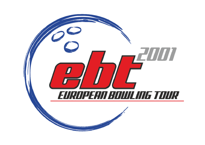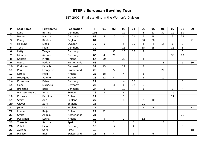| P                       | Last name      | <b>First name</b> | Federation     | T   | 01             | 02             | 03             | 04             | EC             | 05             | 06 | 07 | 08             | 09 |
|-------------------------|----------------|-------------------|----------------|-----|----------------|----------------|----------------|----------------|----------------|----------------|----|----|----------------|----|
| 1                       | Lund           | <b>Bettina</b>    | Denmark        | 108 |                |                | 12             |                | $\mathfrak{Z}$ | 21             | 30 | 12 | 30             |    |
| $\overline{2}$          | <b>Beckel</b>  | Martina           | Germany        | 89  | 5              | 15             | $\overline{4}$ | 21             | 5              | 18             |    | 3  | 18             |    |
| 3                       | Penny          | Kirsten           | England        | 81  |                |                |                |                | 30             | 30             |    |    |                | 21 |
| 4                       | Haglund        | Linda             | Sweden         | 73  | 6              |                | 5              | 30             | 4              | $\overline{4}$ | 15 | 6  | $\mathbf{3}$   |    |
| 5                       | Tchu           | Iben              | <b>Denmark</b> | 72  |                |                | 18             |                | 15             | 15             |    | 18 | 6              |    |
| 6                       | Petty          | Tanya             | Germany        | 70  |                | 30             | 15             | 15             | 4              |                |    |    | 6              |    |
| $\overline{\mathbf{z}}$ | Mirschel       | Andrea            | Germany        | 65  | $\overline{4}$ | 21             |                |                |                |                |    | 30 | 10             |    |
| 8                       | Kantola        | Piritta           | Finland        | 64  | 30             |                | 30             |                | 4              |                |    |    |                |    |
| 9                       | Pascoal        | Farida            | Netherlands    | 53  |                |                |                |                |                |                | 18 |    | 5              | 30 |
| 10                      | Kjeldsen       | Kamilla           | Denmark        | 39  | 15             |                | 21             |                | 3              |                |    |    |                |    |
| $11$                    | Pari           | Françoise         | Switzerland    | 29  |                | 5              |                | 3              |                |                | 21 |    |                |    |
| $12$                    | Larnia         | Heidi             | Finland        | 28  | 18             |                | $\overline{4}$ |                | 6              |                |    |    |                |    |
| 13                      | Mourques       | Valerie           | France         | 28  | 12             | $\overline{4}$ |                |                | $\overline{2}$ |                | 10 |    |                |    |
| 14                      | Kusserow       | Petra             | Germany        | 27  |                |                | $\overline{4}$ | 18             |                |                |    |    | 5              |    |
| 15                      | Göbel          | Michaela          | Germany        | 26  |                | 3              | 6              | 12             | 5              |                |    |    |                |    |
| 16                      | Brönsted       | <b>Britt</b>      | Denmark        | 24  | 6              |                | 10             |                | $\mathbf{1}$   |                |    | 3  | $\overline{4}$ |    |
| 17                      | Mattsson-Baard | Anna              | Sweden         | 23  | $\overline{2}$ |                | 6              |                |                |                |    | 15 |                |    |
| 18                      | Kukkula        | Katriina          | Finland        | 22  |                |                | 1              |                |                |                |    | 21 |                |    |
| 19                      | Smith          | Ann               | England        | 22  |                |                | 4              |                | $\overline{2}$ | 10             |    |    | 6              |    |
| 20                      | Glover         | Zara              | England        | 21  |                |                |                |                | 21             |                |    |    |                |    |
| 21                      | John           | Lisa              | England        | 21  |                |                |                |                | 4              | 5              |    |    |                | 12 |
| 22                      | Lundén         | Reija             | Finland        | 21  | 21             |                |                |                |                |                |    |    |                |    |
| 23                      | Smits          | Angela            | Netherlands    | 21  |                |                |                |                |                |                |    |    | 21             |    |
| 24                      | Pulliainen     | Leena             | Finland        | 19  | 5              |                | $\overline{2}$ |                | 12             |                |    |    |                |    |
| 25                      | Torrents       | Sandra            | Spain          | 19  |                | $\overline{2}$ |                | 5              |                |                | 12 |    |                |    |
| 26                      | Zabel          | Helga             | Germany        | 19  |                | 12             |                | $\overline{4}$ |                |                |    |    | 3              |    |
| 27                      | Aviram         | Sara              | Israel         | 18  |                |                |                |                |                |                |    |    |                | 18 |
| 28                      | Manico         | Bigi              | Switzerland    | 18  | $\overline{a}$ | 4              |                | 6              |                | 6              |    |    |                |    |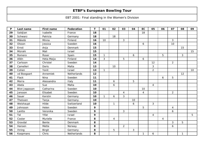| P  | Last name             | <b>First name</b> | <b>Federation</b> | T  | 01           | 02               | 03             | 04             | <b>EC</b>        | 05             | 06             | 07             | 08           | 09 |
|----|-----------------------|-------------------|-------------------|----|--------------|------------------|----------------|----------------|------------------|----------------|----------------|----------------|--------------|----|
| 29 | Saldjian              | Isabelle          | France            | 18 |              |                  |                |                | 18               |                |                |                |              |    |
| 30 | Schwarz               | Patricia          | Germany           | 18 |              | 18               |                |                |                  |                |                |                |              |    |
| 31 | Mäkelä                | Minna             | Finland           | 16 | 10           |                  | $\mathbf{3}$   |                |                  |                |                | 3              |              |    |
| 32 | Olsson                | Jessica           | Sweden            | 16 |              |                  |                |                | 6                |                |                | 10             |              |    |
| 33 | Ernst                 | Anja              | Denmark           | 15 |              |                  |                |                |                  |                |                |                | 15           |    |
| 34 | Mizrahi               | Mali              | Israel            | 15 |              |                  |                |                |                  |                |                |                |              | 15 |
| 35 | Romero                | Roser             | Spain             | 15 | $\mathbf{1}$ |                  |                | 6              |                  |                | 5              |                | 3            |    |
| 36 | Allén                 | Heta-Maija        | Finland           | 14 | 3            |                  | 5              |                | $\boldsymbol{6}$ |                |                |                |              |    |
| 37 | Carlsson              | Christel          | Sweden            | 14 |              |                  |                |                |                  | 12             |                | $\overline{2}$ |              |    |
| 38 | Camelleri             | Doris             | Malta             | 13 |              | 10               |                |                |                  | 3              |                |                |              |    |
| 39 | Cohen                 | Yonit             | Israel            | 13 | $\mathbf{1}$ |                  |                |                |                  | $\overline{2}$ |                |                |              | 10 |
| 40 | vd Boogaart           | Annemiek          | Netherlands       | 12 |              |                  |                |                |                  |                |                |                | 12           |    |
| 41 | Flack                 | <b>Nina</b>       | Sweden            | 11 |              |                  |                |                |                  |                | 6              | 5              |              |    |
| 42 | Morra                 | Alessandra        | Italy             | 11 |              | $\boldsymbol{6}$ |                | 5              |                  |                |                |                |              |    |
| 43 | Abela                 | Sue               | Malta             | 10 |              | $\boldsymbol{6}$ |                |                |                  | $\overline{4}$ |                |                |              |    |
| 44 | <b>Blixt Jeppsson</b> | Catharina         | Sweden            | 10 |              |                  |                |                | 10               |                |                |                |              |    |
| 45 | Jansson               | Elisabet          | Sweden            | 10 |              |                  | 4              |                | $\overline{4}$   |                |                | $\overline{2}$ |              |    |
| 46 | Sauer                 | Kerstin           | Germany           | 10 | 1            | 6                | 3              |                |                  |                |                |                |              |    |
| 47 | Theissen              | Tanja             | Germany           | 10 |              |                  |                | 10             |                  |                |                |                |              |    |
| 48 | Weishaupt             | Hilde             | Switzerland       | 10 |              | $\mathbf{1}$     |                | 6              |                  | 3              |                |                |              |    |
| 49 | Johnsson              | Helen             | Sweden            | 9  |              |                  |                |                | 5                |                |                | 4              |              |    |
| 50 | Lantto                | Veronika          | Sweden            | 9  |              |                  | 3              |                |                  |                |                | 6              |              |    |
| 51 | Tal                   | Yifat             | Israel            | 9  |              |                  |                |                |                  | $\overline{4}$ |                |                |              | 5  |
| 52 | Coster                | Murielle          | France            | 8  |              | $\overline{4}$   |                |                |                  |                | $\overline{4}$ |                |              |    |
| 53 | Gravdal               | Bente             | Denmark           | 8  |              |                  |                |                |                  |                |                | 3              | 5            |    |
| 54 | Hansen                | Mette             | Norway            | 8  |              |                  | $\overline{2}$ |                |                  |                |                | 6              |              |    |
| 55 | Ihring                | <b>Birgit</b>     | Germany           | 8  |              | 5                |                | $\mathfrak{S}$ |                  |                |                |                |              |    |
| 56 | Koopmans              | Chris             | Netherlands       | 8  |              |                  |                |                | $\mathbf{1}$     | 6              |                |                | $\mathbf{1}$ |    |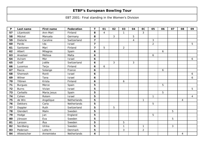| P  | Last name      | <b>First name</b> | Federation    | $\mathbf T$             | 01             | 02 | 03             | 04             | <b>EC</b>      | 05             | 06 | 07 | 08 | 09             |
|----|----------------|-------------------|---------------|-------------------------|----------------|----|----------------|----------------|----------------|----------------|----|----|----|----------------|
| 57 | Liljankoski    | Ann-Mari          | Finland       | 8                       | $\overline{4}$ |    | $\mathbf{1}$   |                | $\mathfrak{Z}$ |                |    |    |    |                |
| 58 | Möckel         | Manuela           | Germany       | 8                       |                | 3  |                | 5              |                |                |    |    |    |                |
| 59 | Dieterle       | Caroline          | Switzerland   | $\overline{\mathbf{z}}$ |                |    |                | $\overline{4}$ |                | 3              |    |    |    |                |
| 60 | Pardo          | Ida               | Israel        | $\overline{\mathbf{z}}$ |                |    |                |                |                | $\overline{a}$ |    |    |    | 5              |
| 61 | Santonen       | Mari              | Finland       | $\overline{\mathbf{z}}$ | 5              |    | $\overline{2}$ |                |                |                |    |    |    |                |
| 62 | Albert         | Milagros          | Spain         | 6                       |                |    |                |                |                |                | 6  |    |    |                |
| 63 | Anastasi       | Melissa           | Malta         | $\boldsymbol{6}$        |                |    |                |                |                | 6              |    |    |    |                |
| 64 | Aviram         | Mor               | Israel        | $\boldsymbol{6}$        |                |    |                |                |                |                |    |    |    | 6              |
| 65 | Graff          | Joëlle            | Switzerland   | 6                       |                | 3  |                | 3              |                |                |    |    |    |                |
| 66 | Lucenius       | Terja             | Finland       | 6                       | 6              |    |                |                |                |                |    |    |    |                |
| 67 | Racca          | Solange           | France        | 6                       |                |    |                |                |                |                | 6  |    |    |                |
| 68 | Shemesh        | Ronit             | Israel        | 6                       |                |    |                |                |                |                |    |    |    | 6              |
| 69 | Wilner         | Tana              | Israel        | 6                       |                |    |                |                |                |                |    |    |    | 6              |
| 70 | Yllönen        | Krista            | Finland       | 6                       |                |    | 6              |                |                |                |    |    |    |                |
| 71 | <b>Burgues</b> | Merce             | Spain         | 5                       |                |    |                |                |                |                | 5  |    |    |                |
| 72 | <b>Burns</b>   | Vivian            | <b>Israel</b> | 5                       |                |    |                |                |                |                |    |    |    | 5              |
| 73 | Carballo       | Maria Jesus       | Spain         | 5                       |                |    |                |                |                |                | 5  |    |    |                |
| 74 | Cohen          | Rotem             | Israel        | 5                       |                |    |                |                |                | $\mathbf{1}$   |    |    |    | $\overline{4}$ |
| 75 | de Win         | Angelique         | Netherlands   | 5                       |                |    |                |                | $\mathbf{1}$   |                |    |    | 4  |                |
| 76 | <b>Dekkers</b> | Carla             | Netherlands   | 5                       |                |    |                |                |                | 5              |    |    |    |                |
| 77 | Doppler        | Ruth              | Switzerland   | 5                       |                | 5  |                |                |                |                |    |    |    |                |
| 78 | Glendert       | Malin             | Sweden        | 5                       |                |    |                |                |                |                |    | 5  |    |                |
| 79 | Hodge          | Jan               | England       | 5                       |                |    |                |                |                | 5              |    |    |    |                |
| 80 | Jönsson        | Eva               | Sweden        | 5                       |                |    |                |                |                |                |    | 5  |    |                |
| 81 | Larsson        | Åsa               | Sweden        | 5                       |                |    | 5              |                |                |                |    |    |    |                |
| 82 | Nordberg       | Ulrika            | Sweden        | 5                       |                |    | 1              |                | $\mathbf{1}$   |                |    | 3  |    |                |
| 83 | Pedersen       | Lotte H           | Denmark       | 5                       |                |    | 3              |                | $\overline{2}$ |                |    |    |    |                |
| 84 | Altewischer    | Annemieke         | Netherlands   | 4                       |                |    |                |                |                |                |    |    | 4  |                |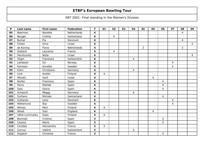| P   | Last name     | <b>First name</b> | Federation     | T                       | 01             | 02             | 03 | 04             | EC             | 05             | 06             | 07 | 08             | 09             |
|-----|---------------|-------------------|----------------|-------------------------|----------------|----------------|----|----------------|----------------|----------------|----------------|----|----------------|----------------|
| 85  | Beerman       | Nanette           | Netherlands    | 4                       |                |                |    |                |                |                |                |    | $\overline{4}$ |                |
| 86  | Bouget        | Cinthia           | Switzerland    | 4                       |                | $\overline{4}$ |    |                |                |                |                |    |                |                |
| 87  | <b>Burkal</b> | Pia               | <b>Denmark</b> | $\overline{\mathbf{4}}$ |                |                |    |                |                |                |                |    | $\overline{4}$ |                |
| 88  | Cohen         | Orna              | Israel         | 4                       |                |                |    |                |                |                |                |    |                | $\overline{4}$ |
| 89  | de Koning     | Fiona             | Netherlands    | 4                       |                |                |    |                | $\overline{2}$ |                |                |    | $\overline{2}$ |                |
| 90  | Gaillard      | Laurence          | France         | 4                       |                | $\overline{4}$ |    |                |                |                |                |    |                |                |
| 91  | Hershcovitz   | Nofar             | Israel         | 4                       |                |                |    |                |                |                |                |    |                | $\overline{4}$ |
| 92  | Hügin         | Franziska         | Switzerland    | 4                       |                |                |    | 4              |                |                |                |    |                |                |
| 93  | Jakobsen      | Siv               | Norway         | 4                       |                |                |    |                |                |                |                | 4  |                |                |
| 94  | Karlsson      | Annette           | Sweden         | 4                       |                |                |    |                |                |                |                | 4  |                |                |
| 95  | Kühn          | Christiane        | Germany        | 4                       |                |                |    | $\overline{4}$ |                |                |                |    |                |                |
| 96  | Lind          | Anette            | Finland        | 4                       | $\overline{4}$ |                |    |                |                |                |                |    |                |                |
| 97  | Mizrahi       | Sarit             | Israel         | 4                       |                |                |    |                |                | $\overline{4}$ |                |    |                |                |
| 98  | Nuñez         | Francisca         | Spain          | 4                       |                |                |    |                |                |                | $\overline{4}$ |    |                |                |
| 99  | Parra         | Matilde           | Spain          | 4                       |                |                |    |                |                |                | $\overline{4}$ |    |                |                |
| 100 | Sala          | Gloria            | Spain          | $\overline{\mathbf{4}}$ |                |                |    |                |                |                | $\overline{4}$ |    |                |                |
| 101 | Schaschl      | Meggy             | Germany        | 4                       |                |                |    | 4              |                |                |                |    |                |                |
| 102 | Siciliano     | Michele           | Switzerland    | 4                       |                |                |    |                |                |                | $\overline{4}$ |    |                |                |
| 103 | Sulkanen      | Lena              | Denmark        | 4                       |                |                |    |                |                |                |                | 4  |                |                |
| 104 | Wetterlund    | Åsa               | Sweden         | $\boldsymbol{4}$        |                |                |    |                |                |                |                | 4  |                |                |
| 105 | Wiman         | Päivi             | Finland        | 4                       | $\overline{4}$ |                |    |                |                |                |                |    |                |                |
| 106 | Wood          | Sian              | England        | 4                       |                |                |    |                |                | 4              |                |    |                |                |
| 107 | Vähä-Lummukka | Kaija             | Finland        | 4                       | $\overline{4}$ |                |    |                |                |                |                |    |                |                |
| 108 | Bonmati       | Cristina          | Spain          | 3                       |                |                |    |                |                |                | 3              |    |                |                |
| 109 | Canosa        | Marta             | Spain          | 3                       |                |                |    |                |                |                | $\mathfrak{Z}$ |    |                |                |
| 110 | Combes        | Alexsandra        | France         | 3                       | 3              |                |    |                |                |                |                |    |                |                |
| 111 | Cornuz        | Valérie           | Switzerland    | $\mathbf{3}$            |                |                |    | $\mathfrak{S}$ |                |                |                |    |                |                |
| 112 | Dupiech       | Christine         | France         | 3                       |                |                |    |                |                |                | $\mathfrak{Z}$ |    |                |                |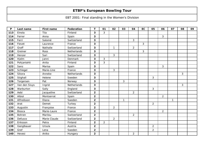| P   | Last name     | <b>First name</b> | <b>Federation</b> | T                       | 01             | 02             | 03           | 04             | EC             | 05             | 06             | 07 | 08 | 09 |
|-----|---------------|-------------------|-------------------|-------------------------|----------------|----------------|--------------|----------------|----------------|----------------|----------------|----|----|----|
| 113 | Einola        | Tiia              | Finland           | 3                       | 3              |                |              |                |                |                |                |    |    |    |
| 114 | Ferrer        | Anna              | Spain             | 3                       |                |                |              |                |                |                | 3              |    |    |    |
| 115 | Ferri         | Salomé            | Switzerland       | 3                       |                |                |              | 3              |                |                |                |    |    |    |
| 116 | Fievet        | Laurence          | France            | 3                       |                |                |              |                | $\mathbf{3}$   |                |                |    |    |    |
| 117 | Graff         | Nathalie          | Switzerland       | 3                       |                | $\mathbf{1}$   |              | $\overline{2}$ |                |                |                |    |    |    |
| 118 | Greiner       | Ross              | Netherlands       | 3                       |                |                |              |                | $\mathfrak{Z}$ |                |                |    |    |    |
| 119 | Henzer        | Sari              | Switzerland       | 3                       |                | 3              |              |                |                |                |                |    |    |    |
| 120 | Hjelm         | Janni             | Denmark           | 3                       | 3              |                |              |                |                |                |                |    |    |    |
| 121 | Pohjanlahti   | Anita             | Finland           | 3                       | 3              |                |              |                |                |                |                |    |    |    |
| 122 | Sanz          | Marisa            | Spain             | 3                       |                |                |              |                |                |                | 3              |    |    |    |
| 123 | Schlegel      | Marie-Line        | France            | 3                       |                | 3              |              |                |                |                |                |    |    |    |
| 124 | Sikora        | Anneke            | Netherlands       | 3                       |                |                |              |                |                |                |                |    | 3  |    |
| 125 | Stighall      | Helene            | Sweden            | 3                       |                |                |              |                |                | $\overline{3}$ |                |    |    |    |
| 126 | Torgersen     | Pat               | Norway            | 3                       |                |                | 3            |                |                |                |                |    |    |    |
| 127 | Van den Sluys | Ingrid            | Netherlands       | 3                       |                |                |              |                |                |                |                |    | 3  |    |
| 128 | Warburton     | Sally             | England           | 3                       |                |                |              |                |                | 3              |                |    |    |    |
| 129 | Aebi          | Jacqueline        | Switzerland       | $\overline{2}$          |                |                |              | $\overline{2}$ |                |                |                |    |    |    |
| 130 | Albiol        | Montserrat        | Spain             | $\overline{2}$          |                |                |              |                |                |                | $\overline{2}$ |    |    |    |
| 131 | Alfredsson    | Diana             | Sweden            | $\overline{2}$          |                |                | $\mathbf{1}$ |                |                |                |                | 1  |    |    |
| 132 | Arat          | Demet             | Turkey            | $\overline{2}$          |                |                |              |                |                | $\overline{2}$ |                |    |    |    |
| 133 | Augustin      | Françoise         | France            | $\overline{\mathbf{2}}$ |                | $\overline{2}$ |              |                |                |                |                |    |    |    |
| 134 | <b>Biosca</b> | Marie-Laure       | France            | $\mathbf{2}$            |                |                |              |                |                |                | $\overline{2}$ |    |    |    |
| 135 | <b>Bohren</b> | Marilou           | Switzerland       | $\overline{2}$          |                |                |              | $\overline{2}$ |                |                |                |    |    |    |
| 136 | Defusco       | Marie Claude      | Switzerland       | $\overline{\mathbf{2}}$ |                | $\overline{2}$ |              |                |                |                |                |    |    |    |
| 137 | Eriksson      | Petra             | Finland           | $\overline{2}$          | $\overline{2}$ |                |              |                |                |                |                |    |    |    |
| 138 | Ganglbauer    | Ursula            | Austria           | $\overline{\mathbf{2}}$ |                |                |              |                |                | $\overline{2}$ |                |    |    |    |
| 139 | Gref          | Lena              | Sweden            | $\mathbf{2}$            |                |                |              |                |                | $\overline{2}$ |                |    |    |    |
| 140 | Hevesi        | Aniko             | Hungary           | $\mathbf{2}$            |                |                |              | $\overline{2}$ |                |                |                |    |    |    |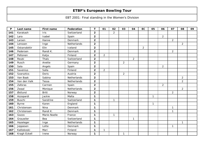| $\mathsf{P}$ | Last name         | <b>First name</b> | Federation     | $\mathbf T$             | 01             | 02             | 03             | 04             | EC             | 05           | 06             | 07             | 08             | 09 |
|--------------|-------------------|-------------------|----------------|-------------------------|----------------|----------------|----------------|----------------|----------------|--------------|----------------|----------------|----------------|----|
| 141          | Karakash          | Iris              | Switzerland    | $\mathbf{2}$            |                | $\overline{2}$ |                |                |                |              |                |                |                |    |
| 142          | Lara              | Isabel            | Spain          | $\overline{2}$          |                |                |                |                |                |              | $\overline{2}$ |                |                |    |
| 143          | Larsen            | Hanne             | <b>Denmark</b> | $\mathbf{2}$            |                |                |                |                |                |              |                | $\overline{2}$ |                |    |
| 144          | Lenssen           | Inge              | Netherlands    | $\overline{\mathbf{2}}$ |                |                |                |                |                |              |                |                | $\overline{2}$ |    |
| 145          | Oskarsdottir      | Elin              | Iceland        | $\overline{2}$          |                |                |                |                | $\overline{2}$ |              |                |                |                |    |
| 146          | Pedersen          | Randi K.          | Denmark        | $\overline{\mathbf{2}}$ |                |                |                |                |                |              |                | $\overline{a}$ |                |    |
| 147          | Peltonen          | Katja             | Finland        | $\overline{2}$          | $\overline{2}$ |                |                |                |                |              |                |                |                |    |
| 148          | Reubi             | Thaïs             | Switzerland    | $\mathbf{2}$            |                |                |                | $\overline{2}$ |                |              |                |                |                |    |
| 149          | Rusch             | Anette            | Germany        | $\overline{2}$          |                |                | $\overline{2}$ |                |                |              |                |                |                |    |
| 150          | Sala              | Angels            | Spain          | $\overline{\mathbf{2}}$ |                |                |                |                |                |              | $\overline{2}$ |                |                |    |
| 151          | Savenius          | Salla             | Finland        | $\overline{2}$          | $\overline{2}$ |                |                |                |                |              |                |                |                |    |
| 152          | <b>Szarsztics</b> | Doris             | Austria        | $\overline{2}$          |                |                | $\overline{2}$ |                |                |              |                |                |                |    |
| 153          | Van Baak          | Sabina            | Netherlands    | $\overline{\mathbf{2}}$ |                |                |                |                |                |              |                |                | $\overline{2}$ |    |
| 154          | Van den Valk      | Tessa             | Netherlands    | $\overline{2}$          |                |                |                |                |                |              |                |                | $\overline{2}$ |    |
| 155          | Zaforas           | Carmen            | Spain          | $\mathbf{2}$            |                |                |                |                |                |              | $\overline{2}$ |                |                |    |
| 156          | Zwaal             | Monique           | Netherlands    | $\overline{2}$          |                |                |                |                |                |              |                |                | $\overline{2}$ |    |
| 157          | Østlund           | <b>Britt</b>      | Norway         | $\mathbf{2}$            |                |                |                |                |                |              |                | $\overline{2}$ |                |    |
| 158          | Azzopardi         | Jackie            | Malta          | $\mathbf 1$             |                |                |                |                |                | $\mathbf{1}$ |                |                |                |    |
| 159          | <b>Buschi</b>     | Sandrine          | Switzerland    | $\mathbf 1$             |                | $\mathbf{1}$   |                |                |                |              |                |                |                |    |
| 160          | <b>Byrne</b>      | Karen             | England        | 1                       |                |                |                |                |                | $\mathbf{1}$ |                |                |                |    |
| 161          | Christensen       | Nina              | Denmark        | $\mathbf{1}$            |                |                |                |                |                |              |                | $\mathbf{1}$   |                |    |
| 162          | Christensen       | Randi K.          | Denmark        | $\mathbf 1$             |                |                |                |                |                |              |                | $\mathbf{1}$   |                |    |
| 163          | Gozzo             | Marie-Noelle      | France         | $\mathbf 1$             |                | $\mathbf{1}$   |                |                |                |              |                |                |                |    |
| 164          | Grauwiler         | Bea               | Switzerland    | 1                       |                |                |                | $\mathbf{1}$   |                |              |                |                |                |    |
| 165          | Hazeleger         | Inge              | Netherlands    | $\mathbf{1}$            |                |                |                |                |                |              |                |                | $\mathbf{1}$   |    |
| 166          | Jeppesen          | Lotte             | Denmark        | 1                       |                |                |                |                |                |              |                | $\mathbf{1}$   |                |    |
| 167          | Kalliokoski       | Mari              | Finland        | 1                       | $\mathbf{1}$   |                |                |                |                |              |                |                |                |    |
| 168          | Kragh Eckell      | Irene             | Norway         | $\mathbf 1$             |                |                | $\mathbf{1}$   |                |                |              |                |                |                |    |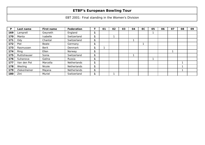| P   | Last name    | First name   | Federation         | 01 | 02 | 03 | 04 | <b>EC</b> | 05 | 06 | 07 | 08 | 09 |
|-----|--------------|--------------|--------------------|----|----|----|----|-----------|----|----|----|----|----|
| 169 | Lamprell     | Gwyneth      | England            |    |    |    |    |           |    |    |    |    |    |
| 170 | Manta        | Isabelle     | Switzerland        |    |    |    |    |           |    |    |    |    |    |
| 171 | Ody          | Chantal      | Switzerland        |    |    |    |    |           |    |    |    |    |    |
| 172 | Piel         | Beate        | Germany            |    |    |    |    |           |    |    |    |    |    |
| 173 | Rasmussen    | <b>Berit</b> | <b>Denmark</b>     |    |    |    |    |           |    |    |    |    |    |
| 174 | Ring         | Ellen        | Norway             |    |    |    |    |           |    |    | ٠  |    |    |
| 175 | Ruttishauser | Sonia        | Switzerland        |    |    |    |    |           |    |    |    |    |    |
| 176 | Suhanova     | Galina       | Russia             |    |    |    |    |           |    |    |    |    |    |
| 177 | Van den Pot  | Marcella     | <b>Netherlands</b> |    |    |    |    |           |    |    |    |    |    |
| 178 | Wesling      | Nicole       | Netherlands        |    |    |    |    |           |    |    |    |    |    |
| 179 | Ziekenheiner | Majana       | Netherlands        |    |    |    |    |           |    |    |    |    |    |
| 180 | Zini         | Muriel       | Switzerland        |    |    |    |    |           |    |    |    |    |    |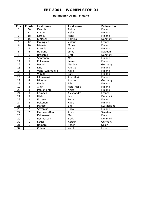## **Ballmaster Open / Finland**

| Pos.            | <b>Points</b>            | Last name      | <b>First name</b> | Federation  |
|-----------------|--------------------------|----------------|-------------------|-------------|
| 1               | 30                       | Kantola        | Piritta           | Finland     |
| $\overline{2}$  | 21                       | Lundén         | Reija             | Finland     |
| $\overline{3}$  | 18                       | Larnia         | Heidi             | Finland     |
| 4               | 15                       | Kjeldsen       | Kamilla           | Denmark     |
| 5               | 12                       | Mourques       | Valerie           | France      |
| 6               | 10                       | Mäkelä         | Minna             | Finland     |
| $\overline{7}$  | 6                        | Lucenius       | Terja             | Finland     |
| 8               | 6                        | Haglund        | Linda             | Sweden      |
| 9               | 6                        | Brönsted       | <b>Britt</b>      | Denmark     |
| 10              | 5                        | Santonen       | Mari              | Finland     |
| 11              | $\overline{5}$           | Pulliainen     | Leena             | Finland     |
| 12              | $\overline{5}$           | <b>Beckel</b>  | Martina           | Germany     |
| 13              | 4                        | Lind           | Anette            | Finland     |
| 14              | $\overline{\mathbf{4}}$  | Vähä-Lummukka  | Kaija             | Finland     |
| 15              | $\overline{4}$           | Wiman          | Päivi             | Finland     |
| 16              | $\overline{\mathbf{4}}$  | Liljankoski    | Ann-Mari          | Finland     |
| 17              | $\overline{\mathcal{A}}$ | Mirschel       | Andrea            | Germany     |
| 18              | $\overline{3}$           | Einola         | Tiia              | Finland     |
| 19              | $\overline{3}$           | Allén          | Heta-Maija        | Finland     |
| 20              | $\overline{3}$           | Pohjanlahti    | Anita             | Finland     |
| 21              | $\overline{3}$           | Combes         | Alexsandra        | France      |
| 22              | $\overline{3}$           | Hjelm          | Janni             | Denmark     |
| 23              | $\overline{2}$           | Eriksson       | Petra             | Finland     |
| 24              | $\overline{2}$           | Peltonen       | Katja             | Finland     |
| $\overline{25}$ | $\overline{2}$           | Manico         | Bigi              | Switzerland |
| 26              | $\overline{2}$           | Savenius       | Salla             | Finland     |
| 27              | $\overline{2}$           | Mattsson-Baard | Anna              | Sweden      |
| 28              | 1                        | Kalliokoski    | Mari              | Finland     |
| 29              | 1                        | Rasmussen      | <b>Berit</b>      | Denmark     |
| 30              | 1                        | Sauer          | Kerstin           | Germany     |
| 31              | 1                        | Romero         | Roser             | Spain       |
| 32              | 1                        | Cohen          | Yonit             | Israel      |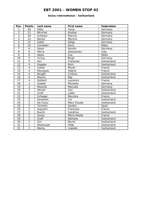#### **Swiss International / Switzerland**

| Pos.                     | <b>Points</b>            | Last name     | <b>First name</b> | Federation  |
|--------------------------|--------------------------|---------------|-------------------|-------------|
| 1                        | 30                       | Petty         | Tania             | Germany     |
| $\overline{2}$           | 21                       | Mirschel      | Andrea            | Germany     |
| $\overline{3}$           | 18                       | Schwarz       | Patricia          | Germany     |
| $\overline{\mathcal{L}}$ | 15                       | <b>Beckel</b> | Martina           | Germany     |
| $\overline{5}$           | 12                       | Zabel         | Helga             | Germany     |
| 6                        | 10                       | Camelleri     | Doris             | Malta       |
| $\overline{7}$           | 6                        | Sauer         | Kerstin           | Germany     |
| 8                        | 6                        | Morra         | Allessandra       | Italy       |
| 9                        | 6                        | Abela         | Sue               | Malta       |
| 10                       | $\overline{5}$           | Ihring        | <b>Birgit</b>     | Germany     |
| 11                       | $\overline{5}$           | Pari          | Françoise         | Switzerland |
| 12                       | $\overline{5}$           | Doppler       | Ruth              | Switzerland |
| 13                       | 4                        | Coster        | Muriel            | France      |
| 14                       | $\overline{4}$           | Mourgues      | Valérie           | France      |
| $\overline{15}$          | $\overline{4}$           | Bouget        | Cinthya           | Switzerland |
| $\overline{16}$          | $\overline{4}$           | Manico        | Bigi              | Switzerland |
| 17                       | $\overline{\mathcal{A}}$ | Gaillard      | Laurence          | France      |
| 18                       | 3                        | Goebel        | Michaela          | Germany     |
| 19                       | $\overline{3}$           | Moeckel       | Manuela           | Germany     |
| 20                       | $\overline{3}$           | Henzer        | Sari              | Switzerland |
| $\overline{21}$          | $\overline{3}$           | Graff         | Joëlle            | Switzerland |
| 22                       | $\overline{3}$           | Schlegel      | Maryline          | France      |
| 23                       | $\overline{2}$           | Karakash      | <b>Iris</b>       | Switzerland |
| $\overline{24}$          | $\overline{2}$           | De Fusco      | Mary-Claude       | Switzerland |
| $\overline{25}$          | $\overline{2}$           | Torrents      | Sandra            | Spain       |
| 26                       | $\overline{2}$           | Augustin      | Françoise         | France      |
| 27                       | $\overline{2}$           | <b>Buschi</b> | Sandrine          | Switzerland |
| 28                       | $\mathbf{1}$             | Gozzo         | Marie-Noelle      | France      |
| 29                       | 1                        | Graff         | Nathalie          | Switzerland |
| 30                       | 1                        | Zini          | Muriel            | Switzerland |
| 31                       | 1                        | Weishaupt     | Hilde             | Switzerland |
| 32                       | 1                        | Manta         | Isabelle          | Switzerland |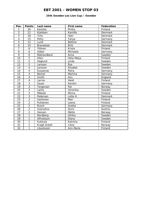#### **25th Sweden Les Lion Cup / Sweden**

| Pos.                     | <b>Points</b>           | Last name        | <b>First name</b> | Federation |
|--------------------------|-------------------------|------------------|-------------------|------------|
| 1                        | 30                      | Kantola          | Piritta           | Finland    |
| $\overline{a}$           | 21                      | Kjeldsen         | Kamilla           | Denmark    |
| 3                        | 18                      | Tchu             | Iben              | Denmark    |
| $\overline{\mathcal{A}}$ | 15                      | Petty            | Tanya             | Germany    |
| 5                        | 12                      | Lund             | <b>Bettine</b>    | Denmark    |
| $\overline{6}$           | 10                      | <b>Brandsted</b> | <b>Britt</b>      | Denmark    |
| $\overline{7}$           | 6                       | Yllönen          | Krista            | Finland    |
| 8                        | 6                       | Göbel            | Michaela          | Germany    |
| 9                        | 6                       | MattsonBard      | Anna              | Sweden     |
| 10                       | $\overline{5}$          | Allen            | Heta-Maija        | Finland    |
| 11                       | $\overline{5}$          | Haglund          | Linda             | Sweden     |
| 12                       | $\overline{5}$          | Larsson          | Åsa               | Sweden     |
| 13                       | $\overline{4}$          | Jansson          | Elisabet          | Sweden     |
| 14                       | $\overline{4}$          | Kusserow         | Petra             | Germany    |
| 15                       | $\overline{\mathbf{4}}$ | Beckel           | Martina           | Germany    |
| $\overline{16}$          | $\overline{4}$          | Smith            | Ann               | England    |
| 17                       | $\overline{4}$          | Larnia           | Heidi             | Finland    |
| 18                       | $\overline{3}$          | Sauer            | Kerstin           | Germany    |
| 19                       | $\overline{3}$          | Torgersen        | Pat               | Norway     |
| 20                       | $\overline{3}$          | Lanto            | Veronika          | Sweden     |
| 21                       | $\overline{3}$          | Mäkelä           | Minna             | Finland    |
| 22                       | $\overline{3}$          | Pedersen         | Lotte H           | Denmark    |
| 23                       | $\overline{2}$          | Santonen         | Mari              | Finland    |
| $\overline{24}$          | $\overline{2}$          | Pulliainen       | Leena             | Finland    |
| 25                       | $\overline{2}$          | Rusch            | Anette            | Germany    |
| 26                       | $\overline{2}$          | Szarsztics       | Doris             | Austria    |
| 27                       | $\overline{2}$          | Hansen           | Mette             | Norway     |
| 28                       | $\mathbf{1}$            | Nordberg         | Ullrika           | Sweden     |
| 29                       | 1                       | Alfredsson       | Diana             | Sweden     |
| 30                       | 1                       | Kukkula          | Katriina          | Finland    |
| 31                       | 1                       | Kragh Eckell     | Irene             | Norway     |
| 32                       | 1                       | Liljankoski      | Ann-Marie         | Finland    |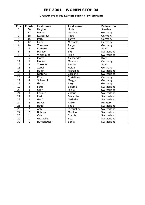## **Grosser Preis des Kanton Zürich / Switzerland**

| Pos.                    | <b>Points</b>           | Last name     | <b>First name</b> | <b>Federation</b> |
|-------------------------|-------------------------|---------------|-------------------|-------------------|
| 1                       | 30                      | Haglund       | Linda             | Sweden            |
| $\overline{2}$          | 21                      | <b>Beckel</b> | Martina           | Germany           |
| 3                       | 18                      | Kusserow      | Petra             | Germany           |
| $\overline{\mathbf{4}}$ | 15                      | Petty         | Tanya             | Germany           |
| 5                       | 12                      | Göbel         | Michaela          | Germany           |
| 6                       | 10                      | Theissen      | Tanja             | Germany           |
| 7                       | 6                       | Romero        | Roser             | Spain             |
| 8                       | 6                       | Manico        | Bigi              | Switzerland       |
| 9                       | 6                       | Weishaupt     | Hilde             | Switzerland       |
| 10                      | 5                       | Morra         | Alessandra        | Italy             |
| 11                      | $\overline{5}$          | Möckel        | Manuela           | Germany           |
| 12                      | $\overline{5}$          | Torrents      | Sandra            | Spain             |
| $\overline{13}$         | $\overline{4}$          | Zabel         | Helga             | Germany           |
| 14                      | $\overline{\mathbf{4}}$ | Hügin         | Franziska         | Switzerland       |
| 15                      | $\overline{4}$          | Dieterle      | Caroline          | Switzerland       |
| 16                      | 4                       | Kühn          | Christiane        | Germany           |
| 17                      | $\overline{4}$          | Schaschl      | Meggy             | Germany           |
| 18                      | $\overline{3}$          | <b>Ihring</b> | <b>Birgit</b>     | Germany           |
| 19                      | $\overline{3}$          | Ferri         | Salomé            | Switzerland       |
| 20                      | $\overline{3}$          | Graff         | Joelle            | Switzerland       |
| 21                      | $\overline{3}$          | Cornuz        | Valérie           | Switzerland       |
| 22                      | $\overline{3}$          | Pari          | Françoise         | Switzerland       |
| 23                      | $\overline{2}$          | Graff         | Nathalie          | Switzerland       |
| $\overline{24}$         | $\overline{2}$          | Hevesi        | Aniko             | Hungary           |
| 25                      | $\overline{2}$          | Reubi         | <b>Thaïs</b>      | Switzerland       |
| 26                      | $\overline{2}$          | Aebi          | Jacqueline        | Switzerland       |
| 27                      | $\overline{2}$          | Bohren        | Marilou           | Switzerland       |
| 28                      | 1                       | Ody           | Chantal           | Switzerland       |
| 29                      | 1                       | Grauwiler     | Bea               | Switzerland       |
| 30                      | 1                       | Ruttishauser  | Sonia             | Switzerland       |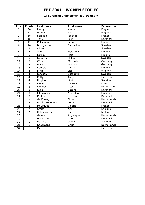## **XI European Championships / Denmark**

| Pos.            | <b>Points</b>           | Last name             | <b>First name</b> | Federation     |
|-----------------|-------------------------|-----------------------|-------------------|----------------|
| 1               | 30                      | Penny                 | Kirsten           | England        |
| $\overline{2}$  | 21                      | Glover                | Zara              | England        |
| $\overline{3}$  | 18                      | Saldjian              | Isabelle          | France         |
| 4               | 15                      | Tchu                  | Iben              | Denmark        |
| $\overline{5}$  | $\overline{12}$         | Pulliainen            | Leena             | Finland        |
| 6               | 10                      | <b>Blixt Jeppsson</b> | Catharina         | Sweden         |
| $\overline{7}$  | 6                       | Olsson                | Jessica           | Sweden         |
| 8               | 6                       | Allen                 | Heta-Maija        | Finland        |
| 9               | 6                       | Larnia                | Heidi             | Finland        |
| 10              | 5                       | Johnsson              | Helen             | Sweden         |
| 11              | $\overline{5}$          | Göbel                 | Michaela          | Germany        |
| 12              | $\overline{5}$          | <b>Beckel</b>         | Martina           | Germany        |
| 13              | 4                       | Kantola               | Piritta           | Finland        |
| 14              | $\overline{4}$          | John                  | Lisa              | England        |
| $\overline{15}$ | $\overline{4}$          | Jansson               | Elisabeth         | Sweden         |
| 16              | $\overline{\mathbf{4}}$ | Petty                 | Tanya             | Germany        |
| 17              | $\overline{\mathbf{4}}$ | Haglund               | Linda             | Sweden         |
| 18              | $\overline{3}$          | Fievet                | Laurence          | France         |
| 19              | $\overline{3}$          | Greiner               | Ross              | Netherlands    |
| 20              | $\overline{3}$          | Lund                  | <b>Bettina</b>    | Denmark        |
| 21              | $\overline{3}$          | Liljankoski           | Ann-Mari          | Finland        |
| 22              | $\overline{3}$          | Kjeldsen              | Kamilla           | Denmark        |
| 23              | $\overline{2}$          | de Koning             | Fiona             | Netherlands    |
| 24              | $\overline{2}$          | <b>Houbo Pedersen</b> | Lotte             | <b>Denmark</b> |
| $\overline{25}$ | $\overline{2}$          | Mourgues              | Valerie           | France         |
| 26              | $\overline{2}$          | Smith                 | Ann               | England        |
| 27              | $\overline{2}$          | Oskarsdottir          | Elin              | Iceland        |
| 28              | 1                       | de Win                | Angelique         | Netherlands    |
| 29              | 1                       | <b>Brøndsted</b>      | <b>Britt</b>      | <b>Denmark</b> |
| 30              | 1                       | Nordberg              | <b>Ulrika</b>     | Sweden         |
| 31              | 1                       | Koopmans              | Chris             | Netherlands    |
| $\overline{32}$ | 1                       | Piel                  | Beate             | Germany        |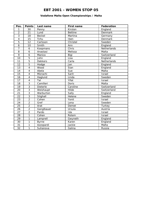## **Vodafone Malta Open Championships / Malta**

| Pos.            | <b>Points</b>           | Last name      | <b>First name</b> | Federation  |
|-----------------|-------------------------|----------------|-------------------|-------------|
| 1               | 30                      | Penny          | Kirsten           | England     |
| $\overline{a}$  | 21                      | Lund           | <b>Bettine</b>    | Denmark     |
| $\overline{3}$  | 18                      | <b>Beckel</b>  | Martina           | Germany     |
| 4               | 15                      | Tchu           | Iben              | Denmark     |
| $\overline{5}$  | 12                      | Carlsson       | Christel          | Sweden      |
| 6               | 10                      | Smith          | Ann               | England     |
| 7               | 6                       | Koopmans       | Chris             | Netherlands |
| 8               | 6                       | Anastasi       | Melissa           | Malta       |
| $\overline{9}$  | 6                       | Manico         | Bigi              | Switzerland |
| 10              | $\overline{5}$          | John           | Lisa              | England     |
| 11              | $\overline{5}$          | <b>Dekkers</b> | Carla             | Netherlands |
| 12              | $\overline{5}$          | Hodge          | Jan               | England     |
| 13              | $\overline{\mathbf{4}}$ | Wood           | Sian              | England     |
| 14              | $\overline{4}$          | Abela          | Sue               | Malta       |
| 15              | $\overline{4}$          | Mizrachi       | Sarit             | Israel      |
| 16              | $\overline{4}$          | Haglund        | Linda             | Sweden      |
| 17              | $\overline{\mathbf{4}}$ | Tal            | Yifat             | Israel      |
| 18              | $\overline{3}$          | Camilleri      | Doris             | Malta       |
| 19              | $\overline{3}$          | Dieterle       | Caroline          | Switzerland |
| 20              | $\overline{3}$          | Weishaupt      | Hilde             | Switzerland |
| $\overline{21}$ | $\overline{3}$          | Warburton      | Sally             | England     |
| 22              | $\overline{3}$          | Stighall       | Helene            | Sweden      |
| 23              | $\overline{2}$          | Cohen          | Yonit             | Israel      |
| 24              | $\overline{2}$          | Gref           | Lena              | Sweden      |
| $\overline{25}$ | $\overline{2}$          | Arat           | Demet             | Turkey      |
| 26              | $\overline{2}$          | Ganglbauer     | Ursula            | Austria     |
| 27              | $\overline{2}$          | Pardo          | Ida               | Israel      |
| 28              | 1                       | Cohen          | Rotem             | Israel      |
| 29              | 1                       | Lamprell       | Gwyneth           | England     |
| 30              | 1                       | <b>Byrne</b>   | Karen             | England     |
| 31              | 1                       | Azzopardi      | Jackie            | Malta       |
| 32              | 1                       | Suhanova       | Galina            | Russia      |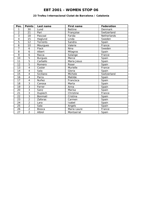#### **23 Trofeu Internacional Ciutat de Barcelona / Catalonia**

| Pos.           | <b>Points</b>           | Last name      | <b>First name</b> | Federation  |
|----------------|-------------------------|----------------|-------------------|-------------|
| 1              | 30                      | Lund           | <b>Bettine</b>    | Denmark     |
| $\overline{2}$ | 21                      | Pari           | Françoise         | Switzerland |
| 3              | 18                      | Pascoal        | Farida            | Netherlands |
| 4              | 15                      | Haglund        | Linda             | Sweden      |
| 5              | 12                      | Torrents       | Sandra            | Spain       |
| 6              | 10                      | Mourgues       | Valerie           | France      |
| 7              | 6                       | Flack          | Nina              | Sweden      |
| 8              | 6                       | Albert         | Milagros          | Spain       |
| 9              | 6                       | Racca          | Solange           | France      |
| 10             | $\overline{5}$          | <b>Burgues</b> | Merce             | Spain       |
| 11             | 5                       | Carballo       | Maria Jesus       | Spain       |
| 12             | 5                       | Romero         | Roser             | Spain       |
| 13             | $\overline{\mathbf{4}}$ | Coster         | Murielle          | France      |
| 14             | 4                       | Sala           | Gloria            | Spain       |
| 15             | 4                       | Siciliano      | Michele           | Switzerland |
| 16             | $\overline{\mathbf{4}}$ | Parra          | Matilde           | Spain       |
| 17             | 4                       | Nuñez          | Francisca         | Spain       |
| 18             | 3                       | Canosa         | Marta             | Spain       |
| 19             | $\overline{3}$          | Ferrer         | Anna              | Spain       |
| 20             | 3                       | Sanz           | Marisa            | Spain       |
| 21             | $\overline{3}$          | Dupiech        | Christine         | France      |
| 22             | $\overline{3}$          | Bonmati        | Cristina          | Spain       |
| 23             | $\overline{2}$          | Zaforas        | Carmen            | Spain       |
| 24             | $\overline{2}$          | Lara           | Isabel            | Spain       |
| 25             | $\overline{2}$          | Sala           | Angels            | Spain       |
| 26             | $\overline{2}$          | <b>Biosca</b>  | Marie-Laure       | France      |
| 27             | $\overline{2}$          | Albiol         | Montserrat        | Spain       |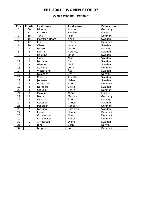#### **Danish Masters / Denmark**

| Pos.            | <b>Points</b>           | Last name        | First name     | Federation     |
|-----------------|-------------------------|------------------|----------------|----------------|
| 1               | 30                      | Mirschel         | Andrea         | Germany        |
| $\overline{2}$  | 21                      | Kukkula          | Katriina       | Finland        |
| $\overline{3}$  | 18                      | Tchu             | Iben           | Denmark        |
| $\overline{4}$  | 15                      | Mattsson-Baard   | Anna           | Sweden         |
| 5               | 12                      | Lund             | <b>Bettina</b> | Denmark        |
| 6               | 10                      | Olsson           | Jessica        | Sweden         |
| $\overline{7}$  | 6                       | Hansen           | Mette          | Norway         |
| 8               | 6                       | Lantto           | Veronica       | Sweden         |
| 9               | 6                       | Haglund          | Linda          | Sweden         |
| 10              | $\overline{5}$          | Flack            | Nina           | Sweden         |
| 11              | $\overline{5}$          | Jönsson          | Eva            | Sweden         |
| 12              | 5                       | Glendert         | Malin          | Sweden         |
| 13              | $\overline{\mathbf{4}}$ | Sulkanen         | Lena           | <b>Denmark</b> |
| 14              | $\overline{\mathbf{4}}$ | Wetterlund       | Åsa            | Sweden         |
| 15              | $\overline{\mathbf{4}}$ | Jakobsen         | Siv            | Norway         |
| 16              | $\overline{\mathbf{4}}$ | Karlsson         | Annette        | Sweden         |
| 17              | $\overline{\mathbf{4}}$ | Johnsson         | Helen          | Sweden         |
| 18              | $\overline{3}$          | <b>Brøndsted</b> | <b>Britt</b>   | Denmark        |
| 19              | $\overline{3}$          | Nordberg         | Ulrika         | Sweden         |
| 20              | $\overline{3}$          | Gravdal          | Bente          | Denmark        |
| 21              | $\overline{3}$          | Mäkelä           | Minna          | Finland        |
| 22              | $\overline{3}$          | Beckel           | Martina        | Germany        |
| 23              | $\overline{2}$          | Østlund          | Britt          | Norway         |
| 24              | $\overline{2}$          | Carlsson         | Christel       | Sweden         |
| $\overline{25}$ | $\overline{2}$          | Pedersen         | Randi K.       | Denmark        |
| 26              | $\overline{2}$          | Jansson          | Elisabeth      | Sweden         |
| 27              | $\overline{2}$          | Larsen           | Hanne          | Denmark        |
| 28              | 1                       | Christensen      | Nina           | Denmark        |
| 29              | 1                       | Christensen      | Randi K.       | Denmark        |
| 30              | $\overline{1}$          | Alfredsson       | Diana          | Sweden         |
| 31              | 1                       | Ring             | Ellen          | Norway         |
| 32              | 1                       | Jeppesen         | Lotte          | Denmark        |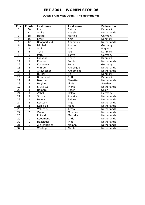## **Dutch Brunswick Open / The Netherlands**

| Pos.                     | <b>Points</b>           | Last name        | <b>First name</b> | <b>Federation</b> |
|--------------------------|-------------------------|------------------|-------------------|-------------------|
| 1                        | 30                      | Lund             | <b>Bettina</b>    | <b>Danmark</b>    |
| $\overline{2}$           | 21                      | Smits            | Angela            | Netherlands       |
| $\overline{3}$           | 18                      | <b>Beckel</b>    | Martina           | Germany           |
| $\overline{\mathcal{L}}$ | 15                      | Ernst            | Anja              | Danmark           |
| 5                        | 12                      | Boogaart v.d.    | Annemiek          | Netherlands       |
| 6                        | 10                      | Mirchel          | Andrea            | Germany           |
| $\overline{7}$           | 6                       | Smith            | Ann               | England           |
| 8                        | 6                       | Tchu             | Iben              | <b>Danmark</b>    |
| 9                        | 6                       | Petty            | Tanya             | Germany           |
| 10                       | 5                       | Gravdal          | Bente             | Danmark           |
| 11                       | $\overline{5}$          | Pascaol          | Farida            | Netherlands       |
| 12                       | $\overline{5}$          | Kusserow         | Petra             | Germany           |
| 13                       | $\overline{\mathbf{4}}$ | Win de           | Angelique         | Netherlands       |
| 14                       | $\overline{4}$          | Altewischer      | Annemieke         | Netherlands       |
| 15                       | $\overline{4}$          | <b>Burkal</b>    | Pia               | <b>Danmark</b>    |
| $\overline{16}$          | $\overline{4}$          | <b>Brondsted</b> | <b>Britt</b>      | Danmark           |
| 17                       | $\overline{4}$          | Beerman          | Nanette           | Netherlands       |
| 18                       | $\overline{3}$          | Haglund          | Linda             | Sweden            |
| 19                       | $\overline{3}$          | Sluys v.d.       | Ingrid            | Netherlands       |
| 20                       | $\overline{3}$          | Romero           | Roser             | Spain             |
| $\overline{21}$          | $\overline{3}$          | Zabel            | Helga             | Germany           |
| 22                       | $\overline{3}$          | Sikora           | Anneke            | Netherlands       |
| 23                       | $\overline{2}$          | Baak v           | Sabina            | Netherlands       |
| 24                       | $\overline{2}$          | Lenssen          | Inge              | Netherlands       |
| $\overline{25}$          | $\overline{2}$          | Konig de         | Fiona             | Netherlands       |
| 26                       | $\overline{2}$          | Valk v.d.        | Tessa             | Netherlands       |
| $\overline{27}$          | $\overline{2}$          | Zwaal            | Monique           | Netherlands       |
| 28                       | 1                       | Pot v.d.         | Marcella          | Netherlands       |
| 29                       | 1                       | Koopmans         | Chris             | Netherlands       |
| 30                       | $\mathbf{1}$            | Hazeleger        | Inge              | Netherlands       |
| 31                       | 1                       | Ziekenheiner     | Majana            | Netherlands       |
| 32                       | 1                       | Wesling          | Nicole            | Netherlands       |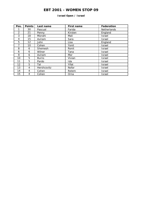## **Israel Open / Israel**

| Pos. | <b>Points</b> | Last name    | First name | Federation    |
|------|---------------|--------------|------------|---------------|
|      | 30            | Pascual      | Farida     | Netherlands   |
| 2    | 21            | Penny        | Kirsten    | England       |
| 3    | 18            | Mizrahi      | Mali       | Israel        |
| 4    | 15            | Aviram       | Sara       | Israel        |
| 5    | 12            | John         | Lisa       | England       |
| 7    | 10            | Cohen        | Yonit      | Israel        |
| 8    | 6             | Shemesh      | Ronit      | Israel        |
| 6    | 6             | Wilner       | Tana       | Israel        |
| 9    | 6             | Aviram       | Mor        | Israel        |
| 10   | 5             | <b>Burns</b> | Vivian     | Israel        |
| 11   | 5             | Pardo        | Ida        | Israel        |
| 12   | 5             | Tal          | Yifat      | Israel        |
| 13   | 4             | Hershcovitz  | Nofar      | Israel        |
| 14   | 4             | Cohen        | Rotem      | Israel        |
| 15   | 4             | Cohen        | Orna       | <b>Israel</b> |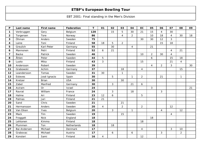| $\mathsf{P}$            | Last name    | First name   | Federation  | T   | 01             | 02             | 03             | 04             | EC             | 05             | 06             | 07             | 08             | 09 |
|-------------------------|--------------|--------------|-------------|-----|----------------|----------------|----------------|----------------|----------------|----------------|----------------|----------------|----------------|----|
| $\mathbf 1$             | Verbruggen   | Gery         | Belgium     | 120 |                | 15             | 5              | 30             | 21             | 15             | $\overline{4}$ | 30             |                |    |
| $\overline{2}$          | Torgersen    | Tore         | Norway      | 86  |                |                | 4              | $\overline{2}$ |                | 10             | 18             | $\overline{4}$ | 30             | 18 |
| 3                       | Öhman        | Anders       | Sweden      | 75  |                |                |                |                | 30             | 30             | 12             | 3              |                |    |
| $\overline{\mathbf{4}}$ | Laine        | Toni         | Finland     | 58  | 18             | 5              | $\overline{2}$ |                |                |                | 15             | 18             |                |    |
| 5                       | Greulich     | Karl-Peter   | Germany     | 55  |                | 30             |                | 4              |                | 21             |                |                |                |    |
| 6                       | Mannonen     | Petri        | Finland     | 52  | 6              | 21             |                |                |                |                |                | $\overline{4}$ | 21             |    |
| $\overline{\mathbf{z}}$ | <b>Backe</b> | Patrick      | Sweden      | 46  |                |                |                |                | 10             | $\overline{a}$ | 30             | $\overline{4}$ |                |    |
| 8                       | Åhlen        | Peter        | Sweden      | 44  | 5              |                |                |                |                | 6              |                | 15             | 18             |    |
| 9                       | Luoto        | Mika         | Finland     | 43  | $\mathbf{3}$   |                |                |                | 15             |                |                | 21             | $\overline{4}$ |    |
| 10                      | Andersson    | Robert       | Sweden      | 39  |                |                |                |                |                | $\overline{4}$ | $\overline{2}$ | 3              |                | 30 |
| 11                      | Grabowski    | Achim        | Germany     | 37  |                |                | 18             |                | 4              |                |                |                | 15             |    |
| 12                      | Leandersson  | Tomas        | Sweden      | 31  | 30             |                | $\mathbf{1}$   |                |                |                |                |                |                |    |
| 13                      | Esteves      | José Ignacio | Spain       | 30  |                | 5              |                | $\mathbf{1}$   | $\overline{2}$ |                | 21             |                | $\mathbf{1}$   |    |
| 14                      | Kretzer      | <b>Brian</b> | <b>USA</b>  | 30  |                |                | 30             |                |                |                |                |                |                |    |
| 15                      | Zabel        | Manfred      | Germany     | 30  |                | $\mathfrak{Z}$ |                | 21             | 6              |                |                |                |                |    |
| 16                      | Aviram       | <b>Or</b>    | Israel      | 24  |                |                |                |                |                | 3              |                |                |                | 21 |
| 17                      | Ravrat       | William      | France      | 24  |                | 3              |                | 18             |                |                | 3              |                |                |    |
| 18                      | Halme        | Ari          | Finland     | 23  | 12             | 6              |                |                | 5              |                |                |                |                |    |
| 19                      | Palmas       | Jari         | Finland     | 21  | 21             |                |                |                |                |                |                |                |                |    |
| 20                      | Sand         | Chris        | Sweden      | 21  |                |                | 21             |                |                |                |                |                |                |    |
| 21                      | Hermansson   | Anders       | Sweden      | 20  | $\overline{4}$ |                | $\overline{2}$ |                | $\overline{2}$ |                |                | 12             |                |    |
| 22                      | Van Eiken    | Yves         | Belgium     | 20  |                | $\mathfrak{Z}$ |                | $\mathbf{1}$   |                |                | $\overline{4}$ |                | 12             |    |
| 23                      | Mack         | Tim          | Sweden      | 19  |                |                | 15             |                |                |                |                | $\overline{4}$ |                |    |
| 24                      | Froggatt     | <b>Nick</b>  | England     | 18  |                |                |                |                |                | 18             |                |                |                |    |
| 25                      | Lehtonen     | Kimmo        | Finland     | 18  |                |                |                |                | 18             |                |                |                |                |    |
| 26                      | Plummen      | Ton          | Netherlands | 18  |                | 18             |                |                |                |                |                |                |                |    |
| 27                      | Bai Andersen | Michael      | Denmark     | 17  |                |                |                |                | $\overline{4}$ |                |                | 3              | 10             |    |
| 28                      | Grabovac     | Michael      | Austria     | 17  |                | 6              |                | 6              |                |                | 3              |                | $\overline{2}$ |    |
| 29                      | Konsteri     | Sami         | Finland     | 16  | $\overline{4}$ |                |                |                | 12             |                |                |                |                |    |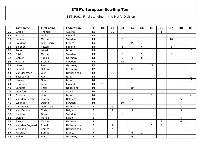| $\mathsf{P}$ | Last name       | First name  | Federation  | T                       | 01 | 02               | 03             | 04 | EC             | 05           | 06             | 07 | 08             | 09             |
|--------------|-----------------|-------------|-------------|-------------------------|----|------------------|----------------|----|----------------|--------------|----------------|----|----------------|----------------|
| 30           | Gross           | Thomas      | Austria     | 15                      |    | 10               |                |    | $\overline{4}$ |              | $\mathbf{1}$   |    |                |                |
| 31           | Kuossari        | Jouko       | Finland     | 15                      | 15 |                  |                |    |                |              |                |    |                |                |
| 32           | Larsen          | Martin      | Sweden      | 15                      |    |                  | 5              |    |                |              |                | 10 |                |                |
| 33           | Paugnat         | Jean-Pierre | France      | 15                      |    |                  |                | 15 |                |              |                |    |                |                |
| 34           | Salonen         | Petteri     | Finland     | 15                      |    |                  | 6              |    | 6              |              |                | 3  |                |                |
| 35           | Tener           | Israel      | Israel      | 15                      |    |                  |                |    |                |              |                |    |                | 15             |
| 36           | Blixt           | Martin      | Sweden      | 13                      |    |                  | 6              |    | $\mathbf{1}$   |              |                | 6  |                |                |
| 37           | Gäbler          | Tobias      | Germany     | 13                      |    |                  | 3              | 4  | 6              |              |                |    |                |                |
| 38           | Falkhäll        | Stefan      | Sweden      | 12                      |    |                  | 12             |    |                |              |                |    |                |                |
| 39           | Lüers           | Peer        | Germany     | 12                      |    |                  |                |    |                | 12           |                |    |                |                |
| 40           | Peinelt         | Helmut      | Germany     | 12                      |    |                  |                | 12 |                |              |                |    |                |                |
| 41           | Van der Veen    | Wim         | Netherlands | 12                      |    | 12               |                |    |                |              |                |    |                |                |
| 42           | Yacobovitz      | Avi         | Israel      | 12                      |    |                  |                |    |                |              |                |    |                | 12             |
| 43           | Hanaor          | Noam        | Israel      | 10                      |    |                  |                |    |                |              |                |    |                | 10             |
| 44           | Immonen         | Juha        | Finland     | 10                      | 10 |                  |                |    |                |              |                |    |                |                |
| 45           | Lenders         | Peter       | Nederland   | 10                      |    |                  |                | 10 |                |              |                |    |                |                |
| 46           | Montfort        | Lluis       | Spain       | 10                      |    |                  |                |    |                |              | 10             |    |                |                |
| 47           | Shtrum          | Yossi       | Israel      | 10                      |    |                  |                |    |                | 6            |                |    |                | $\overline{4}$ |
| 48           | Van den Berghe  | Franky      | Belgium     | 10                      |    |                  |                | 5  |                |              |                |    | 5              |                |
| 49           | Wilander        | Dennie      | Sweden      | 10                      |    |                  | 10             |    |                |              |                |    |                |                |
| 50           | Van Beast       | Geert-Jan   | Netherlands | 9                       |    | $\boldsymbol{6}$ |                |    |                |              |                |    | 3              |                |
| 51           | Van Damne       | Chris       | Belgium     | 9                       |    | $\mathbf{1}$     |                | 3  |                |              |                |    | 5              |                |
| 52           | Carlsson        | Göran       | Sweden      | 8                       |    |                  | $\overline{2}$ |    |                |              |                | 6  |                |                |
| 53           | Ovide           | Marcial     | Spain       | 8                       |    |                  |                |    |                |              | $\overline{4}$ |    | $\overline{4}$ |                |
| 54           | Sassen          | Michael     | Netherlands | 8                       |    |                  |                |    |                |              | $\overline{2}$ |    | 6              |                |
| 55           | Van den Bogaard | Ronald      | Netherlands | 8                       |    | $\overline{2}$   |                |    |                | $\mathbf{1}$ | 5              |    |                |                |
| 56           | Verboon         | Remco       | Netherlands | 8                       |    | 4                |                |    | 4              |              |                |    |                |                |
| 57           | Faraglia        | Samuel      | France      | $\overline{\mathbf{z}}$ |    |                  |                | 6  | $\mathbf{1}$   |              |                |    |                |                |
| 58           | Heine           | Frank       | Germany     | $\overline{\mathbf{z}}$ |    |                  |                | 6  |                |              |                |    | $\mathbf{1}$   |                |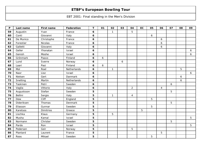| $\mathsf{P}$ | Last name  | First name | Federation  | T                | 01 | 02           | 03 | 04             | EC | 05 | 06             | 07 | 08 | 09 |
|--------------|------------|------------|-------------|------------------|----|--------------|----|----------------|----|----|----------------|----|----|----|
| 59           | Augustin   | Yvan       | France      | $\boldsymbol{6}$ |    | $\mathbf{1}$ |    | 5              |    |    |                |    |    |    |
| 60           | Conti      | Giovanni   | Italy       | 6                |    |              |    |                |    | 6  |                |    |    |    |
| 61           | De Munico  | Christophe | France      | 6                |    |              |    |                |    |    | 6              |    |    |    |
| 62           | Forestier  | Nicolas    | France      | 6                |    |              |    |                |    |    | 6              |    |    |    |
| 63           | Galletti   | Giovanni   | Italy       | 6                |    |              |    |                |    |    | 6              |    |    |    |
| 64           | Geller     | Yhonatan   | Israel      | 6                |    |              |    |                |    |    |                |    |    | 6  |
| 65           | Genish     | Moshe      | Israel      | 6                |    |              |    |                |    |    |                |    |    | 6  |
| 66           | Grönmark   | Paavo      | Finland     | 6                | 6  |              |    |                |    |    |                |    |    |    |
| 67           | Lund       | Sverre     | Norway      | 6                |    |              | 6  |                |    |    |                |    |    |    |
| 68           | Laari      | Pasi       | Finland     | 6                | 6  |              |    |                |    |    |                |    |    |    |
| 69           | Mol        | Roel       | Netherlands | 6                |    | $\mathbf{1}$ |    |                |    |    |                |    | 5  |    |
| 70           | Naor       | Lioz       | Israel      | 6                |    |              |    |                |    |    |                |    |    | 6  |
| 71           | Nielsen    | Gert       | Danmark     | 6                |    |              |    |                |    |    |                |    | 6  |    |
| 72           | Snelting   | Martin     | Netherlands | 6                |    |              |    |                |    |    |                |    | 6  |    |
| 73           | Taskinen   | Petri      | Sweden      | $\boldsymbol{6}$ |    |              |    |                |    |    |                | 6  |    |    |
| 74           | Vaglia     | Vittorio   | Italy       | 6                |    |              |    | $\overline{2}$ |    |    | $\overline{4}$ |    |    |    |
| 75           | Augustsson | Stefan     | Sweden      | 5                |    |              |    |                |    |    |                | 5  |    |    |
| 76           | Bellini    | Sergio     | Italy       | 5                |    | $\mathbf{1}$ |    | $\overline{4}$ |    |    |                |    |    |    |
| 77           | Dew        | Cliff      | England     | 5                |    |              |    |                |    | 5  |                |    |    |    |
| 78           | Dideriksen | Thomas     | Denmark     | 5                |    |              |    |                |    |    |                | 5  |    |    |
| 79           | Eliasson   | Gunnar     | Sweden      | 5                |    |              |    |                |    | 5  |                |    |    |    |
| 80           | Karetsos   | Dimitrios  | Greece      | 5                |    |              |    |                | 5  |    |                |    |    |    |
| 81           | Lischka    | Klaus      | Germany     | 5                |    | 5            |    |                |    |    |                |    |    |    |
| 82           | Musha      | Kamal      | Israel      | 5                |    |              |    |                |    |    |                |    |    | 5  |
| 83           | Normann    | Christer   | Sweden      | 5                |    |              |    |                |    |    |                | 5  |    |    |
| 84           | Pardo      | Ron        | Israel      | 5                |    |              |    |                |    |    |                |    |    | 5  |
| 85           | Pedersen   | Geir       | Norway      | 5                |    |              |    | 5              |    |    |                |    |    |    |
| 86           | Plantard   | Laurent    | France      | 5                |    |              |    |                |    |    | 5              |    |    |    |
| 87           | Roos       | Mikael     | Sweden      | 5                |    |              |    |                |    | 5  |                |    |    |    |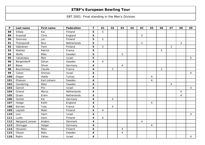| P   | Last name       | First name  | Federation  | T                       | 01             | 02             | 03             | 04 | EC             | 05 | 06             | 07             | 08 | 09             |
|-----|-----------------|-------------|-------------|-------------------------|----------------|----------------|----------------|----|----------------|----|----------------|----------------|----|----------------|
| 88  | Siltala         | Kai         | Finland     | 5                       | 5              |                |                |    |                |    |                |                |    |                |
| 89  | Snashall        | Chris       | England     | 5                       |                |                |                |    | 5              |    |                |                |    |                |
| 90  | Stenroos        | Jari        | Finland     | 5                       | 5              |                |                |    |                |    |                |                |    |                |
| 91  | Thienpondt      | <b>Nico</b> | Netherlands | 5                       |                |                |                |    | $\overline{2}$ |    |                |                | 3  |                |
| 92  | Väänänen        | Tomi        | Finland     | 5                       | $\mathbf{3}$   |                |                |    |                |    |                | $\overline{2}$ |    |                |
| 93  | Wattiez         | Patrick     | France      | 5                       |                |                |                |    |                |    | 5              |                |    |                |
| 94  | Wolfe           | Mike        | Sweden      | 5                       |                |                | 5              |    |                |    |                |                |    |                |
| 95  | Yahakobov       | Meir        | Israel      | 5                       |                |                |                |    |                |    |                |                |    | 5              |
| 96  | Bergendorff     | Göran       | Sweden      | 4                       | $\overline{4}$ |                |                |    |                |    |                |                |    |                |
| 97  | Blase           | Oliver      | Germany     | $\boldsymbol{4}$        |                |                | $\overline{4}$ |    |                |    |                |                |    |                |
| 98  | Bouchereau      | Claude      | France      | $\overline{\mathbf{4}}$ |                | $\overline{2}$ |                |    |                |    | $\overline{2}$ |                |    |                |
| 99  | Cohen           | Shimon      | Israel      | $\boldsymbol{4}$        |                |                |                |    |                |    |                |                |    | $\overline{4}$ |
| 100 | Dogan           | Habib       | Turkey      | $\boldsymbol{4}$        |                |                |                |    |                | 4  |                |                |    |                |
| 101 | Eliasson        | Karl-Johann | Sweden      | $\boldsymbol{4}$        |                |                |                |    |                | 4  |                |                |    |                |
| 102 | Ganebring       | Mats        | Sweden      | $\boldsymbol{4}$        |                |                |                |    |                |    |                | $\overline{4}$ |    |                |
| 103 | Genish          | Pini        | Israel      | $\boldsymbol{4}$        |                |                |                |    |                |    |                |                |    | $\overline{4}$ |
| 104 | Griend          | Marco       | Netherlands | $\boldsymbol{4}$        |                |                |                |    |                |    |                |                | 4  |                |
| 105 | Groen           | Erwin       | Netherlands | $\boldsymbol{4}$        |                |                |                |    |                |    |                |                | 4  |                |
| 106 | Gunter          | Kai         | Germany     | 4                       |                | $\overline{4}$ |                |    |                |    |                |                |    |                |
| 107 | Hodge           | Keith       | England     | 4                       |                |                |                |    |                | 4  |                |                |    |                |
| 108 | Kerrien         | Yves        | France      | 4                       |                | $\overline{4}$ |                |    |                |    |                |                |    |                |
| 109 | Lepistö         | Matti       | Finland     | $\boldsymbol{4}$        | $\overline{4}$ |                |                |    |                |    |                |                |    |                |
| 110 | Levi            | Haim        | Israel      | 4                       |                |                |                |    |                |    |                |                |    | $\overline{4}$ |
| 111 | Luoto           | Sami        | Finland     | 4                       | $\overline{4}$ |                |                |    |                |    |                |                |    |                |
| 112 | Nørgaard Jensen | Anders      | Denmark     | $\boldsymbol{4}$        |                |                |                |    | $\overline{4}$ |    |                |                |    |                |
| 113 | Ohlrogge        | Holger      | Germany     | 4                       |                |                |                |    |                | 4  |                |                |    |                |
| 114 | Oksanen         | Mika        | Finland     | 4                       |                |                | 4              |    |                |    |                |                |    |                |
| 115 | Olsson          | Mats        | Sweden      | 4                       |                |                | 4              |    |                |    |                |                |    |                |
| 116 | Rabin           | Yahav       | Israel      | 4                       |                |                |                |    |                |    |                |                |    | 4              |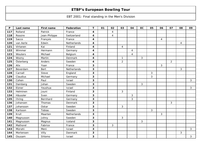| $\mathsf P$ | Last name | First name    | Federation  | T                | 01 | 02             | 03             | 04             | EC             | 05           | 06             | 07             | 08             | 09           |
|-------------|-----------|---------------|-------------|------------------|----|----------------|----------------|----------------|----------------|--------------|----------------|----------------|----------------|--------------|
| 117         | Rolland   | Patrick       | France      | $\boldsymbol{4}$ |    | $\overline{4}$ |                |                |                |              |                |                |                |              |
| 118         | Rossire   | Jean-Philippe | Switzerland | 4                |    | $\overline{4}$ |                |                |                |              |                |                |                |              |
| 119         | Sacco     | François      | France      | $\boldsymbol{4}$ |    |                |                |                |                |              | $\overline{4}$ |                |                |              |
| 120         | van Aerle | Edwin         | Netherlands | 4                |    |                |                |                |                |              |                |                | $\overline{4}$ |              |
| 121         | Virtanen  | Kai           | Finland     | 4                |    |                | $\overline{4}$ |                |                |              |                |                |                |              |
| 122         | Wimmer    | Hermann       | Germany     | 4                |    |                |                | 4              |                |              |                |                |                |              |
| 123         | Wouters   | Michael       | Belgium     | 4                |    |                |                | $\overline{4}$ |                |              |                |                |                |              |
| 124         | Wozny     | Martin        | Denmark     | 4                |    |                | $\mathbf{1}$   |                | 3              |              |                |                |                |              |
| 125         | Österberg | Anders        | Sweden      | 4                |    |                | $\overline{2}$ |                |                |              |                | $\overline{2}$ |                |              |
| 126         | Alix      | Yoan          | France      | 3                |    |                |                |                |                |              | 3              |                |                |              |
| 127         | Beverdam  | <b>Bert</b>   | Netherlands | 3                |    |                |                |                |                |              |                |                | 3              |              |
| 128         | Carnall   | Steve         | England     | 3                |    |                |                |                |                | 3            |                |                |                |              |
| 129         | Claudius  | Michael       | Germany     | 3                |    |                |                |                |                | 3            |                |                |                |              |
| 130         | Cohen     | Paul          | Israel      | 3                |    |                |                |                |                |              |                |                |                | $\mathbf{3}$ |
| 131         | Damberg   | Johan         | Sweden      | 3                |    |                |                |                | 3              |              |                |                |                |              |
| 132         | Elzner    | Yeushua       | Israel      | 3                |    |                |                |                |                |              |                |                |                | 3            |
| 133         | Helminen  | Jouni         | Finland     | 3                |    |                | 3              |                |                |              |                |                |                |              |
| 134         | Häussler  | Sven          | Germany     | 3                |    |                |                | 3              |                |              |                |                |                |              |
| 135         | Ihring    | Bernhard      | Germany     | 3                |    |                |                | 3              |                |              |                |                |                |              |
| 136         | Johansen  | Thomas        | Denmark     | 3                |    |                |                |                |                |              |                | 3              |                |              |
| 137         | Johansson | Oskar         | Sweden      | 3                |    |                | $\mathbf{3}$   |                |                |              |                |                |                |              |
| 138         | Karlsson  | Tobias        | Sweden      | 3                |    |                |                |                |                | $\mathbf{3}$ |                |                |                |              |
| 139         | Krull     | Maarten       | Netherlands | 3                |    |                |                |                |                |              | 3              |                |                |              |
| 140         | Magnusson | Johny         | Sweden      | 3                |    |                | 3              |                |                |              |                |                |                |              |
| 141         | Magnusson | Magnus        | Iceland     | 3                |    |                |                |                | $\mathfrak{Z}$ |              |                |                |                |              |
| 142         | Mathorel  | Fabrice       | France      | 3                |    | 3              |                |                |                |              |                |                |                |              |
| 143         | Mizrahi   | Meni          | Israel      | 3                |    |                |                |                |                |              |                |                |                | $\mathbf{3}$ |
| 144         | Mortensen | Villy         | Danmark     | 3                |    |                |                |                |                |              |                |                | 3              |              |
| 145         | Osusam    | Shlomo        | Israel      | 3                |    |                |                |                |                |              |                |                |                | 3            |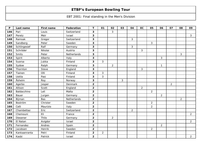| $\boldsymbol{\mathsf{P}}$ | Last name    | First name | Federation  | T                       | 01             | 02             | 03 | 04             | EC             | 05             | 06             | 07             | 08             | 09             |
|---------------------------|--------------|------------|-------------|-------------------------|----------------|----------------|----|----------------|----------------|----------------|----------------|----------------|----------------|----------------|
| 146                       | Pari         | Louis      | Switzerland | 3                       |                | 3              |    |                |                |                |                |                |                |                |
| 147                       | Peretz       | Meir       | Israel      | 3                       |                |                |    |                |                |                |                |                |                | 3              |
| 148                       | Ramsak       | Gregor     | Switzerland | 3                       |                |                |    | 3              |                |                |                |                |                |                |
| 149                       | Sandberg     | Peter      | Sweden      | 3                       |                |                |    |                |                | 3              |                |                |                |                |
| 150                       | Schlingesief | Ralf       | Germany     | 3                       |                |                |    | 3              |                |                |                |                |                |                |
| 151                       | Schröder     | Nikolai    | Austria     | 3                       |                |                |    |                | 3              |                |                |                |                |                |
| 152                       | Smits        | Peter      | Netherlands | 3                       |                |                |    |                |                |                |                |                | 3              |                |
| 153                       | Spirit       | Alberto    | Italy       | 3                       |                |                |    |                |                |                | 3              |                |                |                |
| 154                       | Suorsa       | Jukka      | Finland     | 3                       | $\mathbf{3}$   |                |    |                |                |                |                |                |                |                |
| 155                       | Sydow        | Ralph      | Germany     | 3                       |                | $\overline{2}$ |    |                |                |                | 1              |                |                |                |
| 156                       | Thornton     | Steve      | England     | 3                       |                |                |    |                | 3              |                |                |                |                |                |
| 157                       | Tiainen      | Olli       | Finland     | 3                       | $\mathfrak{Z}$ |                |    |                |                |                |                |                |                |                |
| 158                       | Uotila       | Pasi       | Finland     | 3                       | $\mathfrak{S}$ |                |    |                |                |                |                |                |                |                |
| 159                       | Åsheim       | Roy        | Norway      | 3                       |                |                | 3  |                |                |                |                |                |                |                |
| 160                       | Agerbo       | Jesper     | Denmark     | $\overline{\mathbf{c}}$ |                |                |    |                |                |                |                | $\overline{2}$ |                |                |
| 161                       | Allison      | Scott      | England     | $\overline{\mathbf{2}}$ |                |                |    |                | $\overline{2}$ |                |                |                |                |                |
| 162                       | Baldacchino  | Leli       | Malta       | $\overline{\mathbf{c}}$ |                |                |    |                |                | $\overline{2}$ |                |                |                |                |
| 163                       | Bauer        | Jurgen     | Germany     | $\mathbf{2}$            |                |                |    |                |                |                | $\overline{2}$ |                |                |                |
| 164                       | Bijman       | Bas        | Netherlands | $\mathbf 2$             |                |                |    |                |                |                |                |                | $\overline{2}$ |                |
| 165                       | Boström      | Christer   | Sweden      | $\overline{\mathbf{2}}$ |                |                |    |                |                | $\overline{2}$ |                |                |                |                |
| 166                       | Celli        | Maurizio   | Italy       | $\overline{\mathbf{c}}$ |                |                |    |                |                | $\overline{2}$ |                |                |                |                |
| 167                       | Chambettaz   | Eric       | Switzerland | $\overline{\mathbf{2}}$ |                |                |    | $\overline{2}$ |                |                |                |                |                |                |
| 168                       | Chemouni     | Eli        | France      | $\overline{2}$          |                |                |    |                |                |                |                |                |                | $\overline{2}$ |
| 169                       | Diesener     | Thilo      | Germany     | $\overline{2}$          |                | $\overline{2}$ |    |                |                |                |                |                |                |                |
| 170                       | El Natan     | Avigdor    | Israel      | $\overline{\mathbf{2}}$ |                |                |    |                |                |                |                |                |                | $\overline{2}$ |
| 171                       | Fernandez    | Andres     | Spain       | $\overline{\mathbf{2}}$ |                |                |    |                |                |                | $\overline{2}$ |                |                |                |
| 172                       | Jacobsen     | Henrik     | Sweden      | $\overline{2}$          |                |                |    |                |                | $\overline{2}$ |                |                |                |                |
| 173                       | Kankaanranta | Petri      | Finland     | $\overline{\mathbf{2}}$ | $\overline{2}$ |                |    |                |                |                |                |                |                |                |
| 174                       | Kasbi        | Patrick    | Israel      | $\overline{\mathbf{2}}$ |                |                |    |                |                |                |                |                |                | $\overline{2}$ |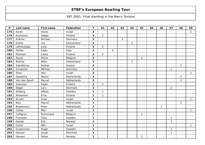| $\mathsf{P}$ | Last name        | <b>First name</b> | <b>Federation</b> | $\mathbf T$             | 01             | 02             | 03             | 04             | EC             | 05 | 06           | 07             | 08             | 09             |
|--------------|------------------|-------------------|-------------------|-------------------------|----------------|----------------|----------------|----------------|----------------|----|--------------|----------------|----------------|----------------|
| 175          | Koren            | Steve             | Israel            | $\overline{\mathbf{c}}$ |                |                |                |                |                |    |              |                |                | $\overline{a}$ |
| 176          | Koukonen         | Seppo             | Finland           | $\overline{2}$          | $\overline{2}$ |                |                |                |                |    |              |                |                |                |
| 177          | Krämer           | Michael           | Germany           | $\overline{\mathbf{2}}$ |                |                | $\overline{a}$ |                |                |    |              |                |                |                |
| 178          | Küttel           | Ivo               | Switzerland       | $\overline{2}$          |                |                |                | $\overline{2}$ |                |    |              |                |                |                |
| 179          | Lehtikangas      | Juha              | Finland           | $\overline{\mathbf{2}}$ | $\overline{2}$ |                |                |                |                |    |              |                |                |                |
| 180          | Paillex          | Fabio             | Italy             | $\overline{2}$          |                | $\overline{2}$ |                |                |                |    |              |                |                |                |
| 181          | Pesonen          | Jukka             | Finland           | $\overline{\mathbf{2}}$ | $\overline{2}$ |                |                |                |                |    |              |                |                |                |
| 182          | Ravez            | Pierre            | Belgium           | $\overline{\mathbf{2}}$ |                |                |                |                | $\overline{2}$ |    |              |                |                |                |
| 183          | Rohner           | Willy             | Switzerland       | $\overline{\mathbf{2}}$ |                |                |                | $\overline{2}$ |                |    |              |                |                |                |
| 184          | Sakellariou      | Kostas            | Greece            | $\overline{2}$          |                |                |                |                |                |    |              |                | $\overline{2}$ |                |
| 185          | Schweizer        | Michael           | Germany           | $\overline{\mathbf{2}}$ |                |                |                |                |                |    |              | $\overline{2}$ |                |                |
| 186          | Shori            | Hen               | Israel            | $\overline{\mathbf{2}}$ |                |                |                |                |                |    |              |                |                | $\overline{2}$ |
| 187          | Spoelstra        | Martin            | Netherlands       | $\overline{2}$          |                |                |                |                |                |    |              |                | $\overline{2}$ |                |
| 188          | Van den Bosch    | Marcel            | Netherlands       | $\overline{\mathbf{2}}$ |                |                |                |                |                |    |              |                | $\overline{2}$ |                |
| 189          | Vuorinen         | Tapio             | Finland           | $\overline{2}$          | $\overline{2}$ |                |                |                |                |    |              |                |                |                |
| 190          | Øager            | Lars              | Denmark           | $\overline{\mathbf{2}}$ |                |                |                |                |                |    |              | $\overline{a}$ |                |                |
| 191          | Ahlberg          | Håkan             | Sweden            | $\mathbf{1}$            | 1              |                |                |                |                |    |              |                |                |                |
| 192          | Aholammi         | Erno              | Finland           | $\mathbf 1$             | 1              |                |                |                |                |    |              |                |                |                |
| 193          | Arvatz           | Liran             | Israel            | $\mathbf 1$             |                |                |                |                |                |    |              |                |                | $\mathbf{1}$   |
| 194          | Bais             | Marcel            | Netherlands       | 1                       |                |                |                |                |                |    |              |                | $\mathbf{1}$   |                |
| 195          | <b>Broekmans</b> | Peter             | Netherlands       | $\mathbf 1$             |                |                |                |                |                |    | $\mathbf{1}$ |                |                |                |
| 196          | Cohen            | Meir              | Israel            | 1                       |                |                |                |                |                |    |              |                |                | $\mathbf{1}$   |
| 197          | Collignon        | Dominique         | Belgium           | $\mathbf 1$             |                |                |                |                | $\mathbf{1}$   |    |              |                |                |                |
| 198          | Fransson         | Tony              | Sweden            | $\mathbf 1$             |                |                |                |                |                |    |              | $\mathbf{1}$   |                |                |
| 199          | Garder           | Erik              | Norway            | $\mathbf 1$             |                |                |                |                |                |    |              | $\mathbf{1}$   |                |                |
| 200          | Guriel           | Miki              | Israel            | $\mathbf 1$             |                |                |                |                |                |    |              |                |                | $\mathbf{1}$   |
| 201          | Gustavsson       | Roger             | Sweden            | $\mathbf 1$             |                |                |                |                |                |    |              | 1              |                |                |
| 202          | Hansen           | Jacob             | Denmark           | $\mathbf 1$             |                |                |                |                |                |    |              | 1              |                |                |
| 203          | Hansen           | Petter            | Norway            | 1                       |                |                |                |                | $\mathbf{1}$   |    |              |                |                |                |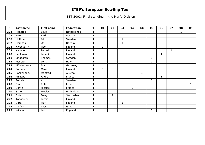| P   | Last name   | First name  | Federation  | Т | 01 | 02           | 03           | 04 | EC | 05           | 06           | 07 | 08 | 09           |
|-----|-------------|-------------|-------------|---|----|--------------|--------------|----|----|--------------|--------------|----|----|--------------|
| 204 | Hendriks    | Louis       | Netherlands | 1 |    |              |              |    |    |              |              |    |    |              |
| 205 | <b>Hink</b> | Karl        | Austria     | 1 |    |              |              | 1  |    |              |              |    |    |              |
| 206 | Hoffman     | Bill        | Sweden      | 1 |    |              | $\mathbf 1$  |    |    |              |              |    |    |              |
| 207 | Hämnäs      | Ulf         | Norway      | 1 |    |              | $\mathbf 1$  |    |    |              |              |    |    |              |
| 208 | Kiventöyry  | <b>Ilpo</b> | Finland     | 1 | 1  |              |              |    |    |              |              |    |    |              |
| 209 | Kiviaho     | Petteri     | Finland     | 1 |    |              |              |    |    |              |              | 1  |    |              |
| 210 | Lankinen    | Juhani      | Finland     | 1 |    |              |              |    |    |              | $\mathbf{1}$ |    |    |              |
| 211 | Lindegren   | Thomas      | Sweden      | 1 |    |              |              |    |    | $\mathbf{1}$ |              |    |    |              |
| 212 | Masetti     | Loris       | Italy       | 1 |    |              |              |    |    | 1            |              |    |    |              |
| 213 | Mühlenbrock | Frank       | Germany     | 1 |    |              |              | 1  |    |              |              |    |    |              |
| 214 | Pajunen     | Mika        | Finland     | 1 | 1  |              |              |    |    |              |              |    |    |              |
| 215 | Panzenböck  | Manfred     | Austria     | 1 |    |              |              |    | 1  |              |              |    |    |              |
| 216 | Philippe    | Andre       | France      | 1 |    |              |              |    |    |              | 1            |    |    |              |
| 217 | Poikela     | Ari         | Sweden      | 1 |    |              |              |    |    | 1            |              |    |    |              |
| 218 | Raz         | Rafi        | Israel      | 1 |    |              |              |    |    |              |              |    |    | $\mathbf{1}$ |
| 219 | Santel      | Nicolas     | France      | 1 |    |              |              | 1  |    |              |              |    |    |              |
| 220 | Selier      | Wesley      | Netherlands | 1 |    |              |              |    |    |              |              |    | 1  |              |
| 221 | Suter       | Dany        | Switzerland | 1 |    | $\mathbf{1}$ |              |    |    |              |              |    |    |              |
| 222 | Tarkiainen  | Jorma       | Finland     | 1 | 1  |              |              |    |    |              |              |    |    |              |
| 223 | Virta       | Matti       | Finland     | 1 |    |              | $\mathbf{1}$ |    |    |              |              |    |    |              |
| 224 | Volfart     | Yossi       | Israel      | 1 |    |              |              |    |    |              |              |    |    | $\mathbf{1}$ |
| 225 | Wilson      | Jeff        | England     | 1 |    |              |              |    |    | 1            |              |    |    |              |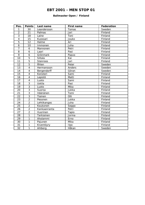#### **Ballmaster Open / Finland**

| Pos.            | <b>Points</b>           | Last name    | First name  | <b>Federation</b> |
|-----------------|-------------------------|--------------|-------------|-------------------|
| 1               | 30                      | Leandersson  | Tomas       | Sweden            |
| $\overline{2}$  | 21                      | Palmas       | Jari        | Finland           |
| $\overline{3}$  | 18                      | Laine        | Toni        | Finland           |
| 4               | 15                      | Kuossari     | Jouko       | Finland           |
| 5               | 12                      | Halme        | Ari         | Finland           |
| 6               | 10                      | Immonen      | Juha        | Finland           |
| $\overline{7}$  | 6                       | Mannonen     | Petri       | Finland           |
| 8               | 6                       | Laari        | Pasi        | Finland           |
| 9               | 6                       | Grönmark     | Paavo       | Finland           |
| 10              | $\overline{5}$          | Siltala      | Kai         | Finland           |
| 11              | $\overline{5}$          | Stenroos     | Jari        | Finland           |
| 12              | $\overline{5}$          | Åhlen        | Peter       | Sweden            |
| 13              | $\overline{\mathbf{4}}$ | Hermansson   | Anders      | Sweden            |
| 14              | $\overline{\mathbf{4}}$ | Bergendorff  | Göran       | Sweden            |
| 15              | $\overline{4}$          | Konsteri     | Sami        | Finland           |
| 16              | $\overline{\mathbf{4}}$ | Lepistö      | Matti       | Finland           |
| 17              | $\overline{\mathbf{4}}$ | Luoto        | Sami        | Finland           |
| 18              | $\overline{3}$          | Uotila       | Pasi        | Finland           |
| 19              | $\overline{3}$          | Luoto        | Mika        | Finland           |
| 20              | $\overline{3}$          | Suorsa       | Jukka       | Finland           |
| 21              | $\overline{3}$          | Väänänen     | Tomi        | Finland           |
| 22              | $\overline{3}$          | Tiainen      | Olli        | Finland           |
| 23              | $\overline{2}$          | Pesonen      | Jukka       | Finland           |
| 24              | $\overline{2}$          | Lehtikangas  | Juha        | Finland           |
| $\overline{25}$ | $\overline{2}$          | Koukonen     | Seppo       | Finland           |
| 26              | $\overline{2}$          | Kankaanranta | Petri       | Finland           |
| 27              | $\overline{2}$          | Vuorinen     | Tapio       | Finland           |
| 28              | 1                       | Tarkiainen   | Jorma       | Finland           |
| 29              | 1                       | Aholammi     | Erno        | Finland           |
| 30              | $\mathbf{1}$            | Pajunen      | Mika        | Finland           |
| 31              | $\mathbf{1}$            | Kiventöyry   | <b>Ilpo</b> | Finland           |
| 32              | 1                       | Ahlberg      | Håkan       | Sweden            |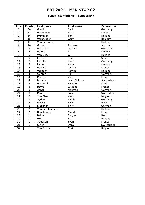#### **Swiss International / Switzerland**

| Pos.                    | <b>Points</b>           | Last name       | <b>First name</b>        | Federation  |
|-------------------------|-------------------------|-----------------|--------------------------|-------------|
| 1                       | 30                      | Greulich        | Carlo                    | Germany     |
| $\overline{2}$          | 21                      | Mannonen        | Pietri                   | Finland     |
| $\overline{3}$          | 18                      | Plummen         | Ton                      | Holland     |
| $\overline{\mathbf{4}}$ | 15                      | Verbruggen      | Gery                     | Belgium     |
| $\overline{5}$          | 12                      | Van der Veen    | Ron                      | Holland     |
| 6                       | 10                      | Gross           | Thomas                   | Austria     |
| $\overline{7}$          | 6                       | Grabovac        | Michael                  | Germany     |
| 8                       | 6                       | Halme           | Ari                      | Finland     |
| $\overline{9}$          | 6                       | Van Beast       | $\overline{\mathsf{GJ}}$ | Holland     |
| 10                      | 5                       | Esteves         | José                     | Spain       |
| 11                      | $\overline{5}$          | Lischka         | Klaus                    | Germany     |
| 12                      | $\overline{5}$          | Laine           | Tony                     | Finland     |
| 13                      | $\overline{\mathbf{4}}$ | Rolland         | Patrick                  | France      |
| 14                      | 4                       | Verboon         | Remco                    | Holland     |
| 15                      | $\overline{\mathbf{4}}$ | Gunter          | Kai                      | Germany     |
| 16                      | $\overline{\mathbf{4}}$ | Kerrien         | Yves                     | France      |
| $\overline{17}$         | $\overline{\mathbf{4}}$ | Rossire         | Jean-Philippe            | Switzerland |
| 18                      | 3                       | Mathorel        | Fabrice                  | France      |
| 19                      | $\overline{3}$          | Ravra           | William                  | France      |
| 20                      | $\overline{3}$          | Zabel           | Manfred                  | Germany     |
| 21                      | $\overline{3}$          | Pari            | Louis                    | Switzerland |
| 22                      | $\overline{3}$          | Van Eiken       | Yves                     | Belgium     |
| 23                      | $\overline{2}$          | Sydow           | Ralph                    | Germany     |
| 24                      | $\overline{2}$          | Paillex         | Fabio                    | Italy       |
| $\overline{25}$         | $\overline{2}$          | Diesener        | Thilo                    | Germany     |
| 26                      | $\overline{2}$          | Van den Boggard | Ron                      | Holland     |
| 27                      | $\overline{2}$          | Bouchereau      | Claude                   | France      |
| 28                      | 1                       | <b>Bellini</b>  | Sergio                   | Italy       |
| 29                      | 1                       | Mol             | Roel                     | Holland     |
| 30                      | 1                       | Augustin        | Yvan                     | France      |
| 31                      | 1                       | Suter           | Dany                     | Switzerland |
| 32                      | 1                       | Van Damne       | Chris                    | Belgium     |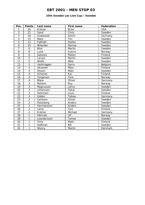#### **25th Sweden Les Lion Cup / Sweden**

| Pos.                     | <b>Points</b>  | Last name    | First name   | Federation |
|--------------------------|----------------|--------------|--------------|------------|
| 1                        | 30             | Kretzer      | <b>Brian</b> | <b>USA</b> |
| $\overline{2}$           | 21             | Sand         | Chris        | Sweden     |
| $\overline{3}$           | 18             | Grabowski    | Achim        | Germany    |
| $\overline{\mathcal{L}}$ | 15             | Mack         | Tim          | Sweden     |
| 5                        | 12             | Falkhäll     | Stefan       | Sweden     |
| 6                        | 10             | Wilander     | Dennie       | Sweden     |
| $\overline{7}$           | 6              | <b>Blixt</b> | Martin       | Sweden     |
| 8                        | 6              | Lund         | Sverre       | Norway     |
| 9                        | 6              | Salonen      | Petteri      | Finland    |
| 10                       | 5              | Larsen       | Martin       | Sweden     |
| 11                       | $\overline{5}$ | Wolfe        | Mike         | Sweden     |
| 12                       | $\overline{5}$ | Verbrüggen   | Gerry        | Belgium    |
| 13                       | $\overline{4}$ | Oksanen      | Mika         | Finland    |
| 14                       | $\overline{4}$ | Olsson       | Mats         | Sweden     |
| 15                       | $\overline{4}$ | Virtanen     | Kai          | Finland    |
| $\overline{16}$          | $\overline{4}$ | Torgersen    | Tore         | Norway     |
| 17                       | $\overline{4}$ | <b>Blase</b> | Oliver       | Germany    |
| 18                       | $\overline{3}$ | Åsheim       | Roy          | Norway     |
| 19                       | $\overline{3}$ | Magnusson    | Johny        | Sweden     |
| 20                       | $\overline{3}$ | Johansson    | Oskar        | Sweden     |
| $\overline{21}$          | $\overline{3}$ | Helminen     | Jouni        | Finland    |
| 22                       | $\overline{3}$ | Gäbler       | Tobias       | Germany    |
| 23                       | $\overline{2}$ | Carlsson     | Göran        | Sweden     |
| 24                       | $\overline{2}$ | Österberg    | Anders       | Sweden     |
| $\overline{25}$          | $\overline{2}$ | Hermansson   | Anders       | Sweden     |
| 26                       | $\overline{2}$ | Laine        | Toni         | Finland    |
| 27                       | $\overline{2}$ | Krämer       | Michael      | Germany    |
| 28                       | 1              | Hämnäs       | Ulf          | Norway     |
| 29                       | 1              | Leandersson  | Tomas        | Sweden     |
| 30                       | $\mathbf{1}$   | Virta        | Matti        | Finland    |
| 31                       | 1              | Hoffman      | Bill         | Sweden     |
| 32                       | 1              | Wozny        | Martin       | Denmark    |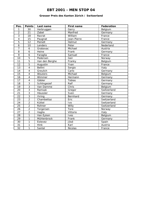#### **Grosser Preis des Kanton Zürich / Switzerland**

| Pos.                     | <b>Points</b>           | Last name      | <b>First name</b> | Federation  |
|--------------------------|-------------------------|----------------|-------------------|-------------|
| 1                        | 30                      | Verbruggen     | Gerry             | Belgium     |
| $\overline{a}$           | 21                      | Zabel          | Manfred           | Germany     |
| 3                        | 18                      | Ravrat         | William           | France      |
| $\overline{\mathcal{A}}$ | 15                      | Paugnat        | Jean-Pierre       | France      |
| $\overline{5}$           | 12                      | Peinelt        | Helmut            | Germany     |
| $\overline{6}$           | 10                      | Lenders        | Peter             | Nederland   |
| $\overline{7}$           | 6                       | Grabovac       | Michael           | Austria     |
| 8                        | 6                       | Heine          | Frank             | Germany     |
| 9                        | 6                       | Faraglia       | Samuel            | France      |
| 10                       | $\overline{5}$          | Pedersen       | Geir              | Norway      |
| 11                       | $\overline{5}$          | Van den Berghe | Franky            | Belgium     |
| 12                       | $\overline{5}$          | Augustin       | Yvan              | France      |
| 13                       | $\overline{4}$          | <b>Bellini</b> | Sergio            | Italy       |
| 14                       | $\overline{4}$          | Greulich       | Carlo             | Germany     |
| 15                       | $\overline{\mathbf{4}}$ | Wouters        | Michael           | Belgium     |
| $\overline{16}$          | $\overline{4}$          | Wimmer         | Hermann           | Germany     |
| 17                       | $\overline{4}$          | Gäbler         | Tobias            | Germany     |
| 18                       | $\overline{3}$          | Schlingesief   | Ralf              | Germany     |
| 19                       | $\overline{3}$          | Van Damme      | Chris             | Belgium     |
| 20                       | $\overline{3}$          | Ramsak         | Gregor            | Switzerland |
| 21                       | $\overline{3}$          | Häussler       | Sven              | Germany     |
| 22                       | $\overline{3}$          | Ihring         | Bernhard          | Germany     |
| 23                       | $\overline{2}$          | Chambettaz     | Eric              | Switzerland |
| $\overline{24}$          | $\overline{2}$          | Küttel         | Ivo               | Switzerland |
| 25                       | $\overline{2}$          | Rohner         | Willy             | Switzerland |
| 26                       | $\overline{2}$          | Torgersen      | Tore              | Norway      |
| 27                       | $\overline{2}$          | Vaglia         | Vittorio          | Italy       |
| 28                       | $\mathbf{1}$            | Van Eyken      | Ives              | Belgium     |
| 29                       | 1                       | Mühlenbrock    | Frank             | Germany     |
| 30                       | 1                       | Estevez        | Jösé              | Spain       |
| 31                       | 1                       | <b>Hink</b>    | Karl              | Austria     |
| 32                       | 1                       | Santel         | <b>Nicolas</b>    | France      |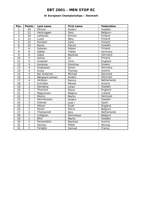## **XI European Championships / Denmark**

| Pos.                     | <b>Points</b>           | Last name       | <b>First name</b> | <b>Federation</b> |
|--------------------------|-------------------------|-----------------|-------------------|-------------------|
| 1                        | 30                      | Öhman           | Anders            | Sweden            |
| $\overline{2}$           | 21                      | Verbruggen      | Gery              | Belgium           |
| $\overline{3}$           | 18                      | Lehtonen        | Kimmo             | Finland           |
| $\overline{\mathcal{L}}$ | 15                      | Luoto           | Mika              | Finland           |
| 5                        | 12                      | Konsteri        | Sami              | Finland           |
| 6                        | 10                      | Backe           | Patrick           | Sweden            |
| $\overline{7}$           | 6                       | Salonen         | Petteri           | Finland           |
| 8                        | 6                       | Gäbler          | <b>Tobias</b>     | Germany           |
| 9                        | 6                       | Zabel           | Manfred           | Germany           |
| 10                       | 5                       | Halme           | Ari               | Finland           |
| 11                       | $\overline{5}$          | Snashall        | Chris             | England           |
| 12                       | $\overline{5}$          | Karetsos        | Dimitrios         | Greece            |
| 13                       | $\overline{\mathbf{4}}$ | Grabowski       | Achim             | Germany           |
| 14                       | $\overline{\mathbf{4}}$ | Gross           | Thomas            | Austria           |
| 15                       | $\overline{4}$          | Bai Andersen    | Michael           | Denmark           |
| 16                       | $\overline{\mathbf{4}}$ | Nørgaard Jensen | Anders            | <b>Denmark</b>    |
| 17                       | $\overline{4}$          | Verboon         | Remco             | Netherlands       |
| 18                       | $\overline{3}$          | Schröder        | Nikolai           | Austria           |
| 19                       | $\overline{3}$          | Damberg         | Johan             | Sweden            |
| 20                       | $\overline{3}$          | Thornton        | <b>Steve</b>      | England           |
| $\overline{21}$          | $\overline{3}$          | Magnusson       | Magnus            | Iceland           |
| 22                       | $\overline{3}$          | Wozny           | Martin            | Denmark           |
| 23                       | $\overline{2}$          | Hermansson      | Anders            | Sweden            |
| $\overline{24}$          | $\overline{2}$          | Estevez         | Jose I            | Spain             |
| $\overline{25}$          | $\overline{2}$          | Allison         | Scott             | England           |
| 26                       | $\overline{2}$          | Ravez           | Pierre            | Belgium           |
| 27                       | $\overline{2}$          | Thienpondt      | <b>Nico</b>       | Netherlands       |
| 28                       | 1                       | Collignon       | Dominique         | Belgium           |
| 29                       | 1                       | <b>Blixt</b>    | Martin            | Sweden            |
| 30                       | $\mathbf{1}$            | Panzenböck      | Manfred           | Austria           |
| 31                       | 1                       | Hansen          | Petter            | Norway            |
| 32                       | 1                       | Faraglia        | Samuel            | France            |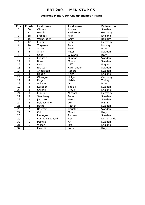## **Vodafone Malta Open Championships / Malta**

| Pos.            | <b>Points</b>           | Last name       | <b>First name</b> | Federation  |
|-----------------|-------------------------|-----------------|-------------------|-------------|
| 1               | 30                      | Öhman           | Anders            | Sweden      |
| $\overline{a}$  | 21                      | Greulich        | Karl-Peter        | Germany     |
| $\overline{3}$  | 18                      | Froggatt        | <b>Nick</b>       | England     |
| 4               | 15                      | Verbruggen      | Gery              | Belgium     |
| 5               | 12                      | Lüers           | Peer              | Germany     |
| 6               | 10                      | Torgersen       | Tore              | Norway      |
| $\overline{7}$  | 6                       | Shtrum          | Yossi             | Israel      |
| 8               | 6                       | Åhlen           | Peter             | Sweden      |
| 9               | 6                       | Conti           | Giovanni          | Italy       |
| 10              | $\overline{5}$          | Eliasson        | Gunnar            | Sweden      |
| 11              | $\overline{5}$          | Roos            | Mikael            | Sweden      |
| 12              | 5                       | Dew             | <b>Cliff</b>      | England     |
| 13              | $\overline{\mathbf{4}}$ | Eliasson        | Karl-Johann       | Sweden      |
| 14              | $\overline{\mathbf{4}}$ | Andersson       | Robert            | Sweden      |
| 15              | $\overline{\mathbf{4}}$ | Hodge           | Keith             | England     |
| 16              | 4                       | Ohlrogge        | Holger            | Germany     |
| 17              | 4                       | Dogan           | Habib             | Turkey      |
| 18              | $\overline{3}$          | Aviram          | <b>Or</b>         | Israel      |
| 19              | $\overline{3}$          | Karlsson        | <b>Tobias</b>     | Sweden      |
| 20              | $\overline{3}$          | Carnall         | <b>Steve</b>      | England     |
| 21              | $\overline{3}$          | Claudius        | Michael           | Germany     |
| 22              | $\overline{3}$          | Sandberg        | Peter             | Sweden      |
| 23              | $\overline{2}$          | Jacobsen        | Henrik            | Sweden      |
| 24              | $\overline{2}$          | Baldacchino     | Leli              | Malta       |
| $\overline{25}$ | $\overline{2}$          | <b>Backe</b>    | Patrick           | Sweden      |
| 26              | $\overline{2}$          | Bostrom         | Christer          | Sweden      |
| 27              | $\overline{2}$          | Celli           | Maurizio          | Italy       |
| 28              | 1                       | Lindegren       | Thomas            | Sweden      |
| 29              | 1                       | van den Bogaard | Ron               | Netherlands |
| 30              | 1                       | Poikela         | Ari               | Sweden      |
| 31              | 1                       | Wilson          | <b>Jeff</b>       | England     |
| 32              | 1                       | Masetti         | Loris             | Italy       |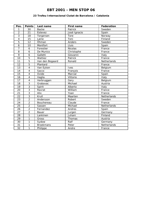#### **23 Trofeu Internacional Ciutat de Barcelona / Catalonia**

| Pos.                     | <b>Points</b>           | Last name        | <b>First name</b> | <b>Federation</b> |
|--------------------------|-------------------------|------------------|-------------------|-------------------|
| 1                        | 30                      | <b>Backe</b>     | Patrick           | Sweden            |
| $\overline{2}$           | 21                      | Estevez          | José Ignacio      | Spain             |
| $\overline{3}$           | 18                      | Torgersen        | Tore              | Norway            |
| $\overline{\mathcal{L}}$ | 15                      | Laine            | Toni              | Finland           |
| 5                        | 12                      | Öhman            | Anders            | Sweden            |
| $\overline{6}$           | 10                      | Montfort         | Lluis             | Spain             |
| $\overline{7}$           | 6                       | Forestier        | Nicolas           | France            |
| 8                        | 6                       | De Munico        | Christophe        | France            |
| 9                        | 6                       | Galletti         | Giovanni          | Italy             |
| 10                       | $\overline{5}$          | Wattiez          | Patrick           | France            |
| 11                       | $\overline{5}$          | Van den Bogaard  | Ronald            | Netherlands       |
| 12                       | $\overline{5}$          | Plantard         |                   | France            |
| 13                       | $\overline{\mathbf{4}}$ | Van Eyken        | Ives              | Belgium           |
| 14                       | $\overline{4}$          | Sacco            | François          | France            |
| 15                       | $\overline{4}$          | Ovide            | Marcial           | Spain             |
| 16                       | $\overline{\mathbf{4}}$ | Vaglia           | Vittorio          | Italy             |
| 17                       | $\overline{4}$          | Verbruggen       | Gery              | Belgium           |
| 18                       | $\overline{3}$          | Grabovac         | Michael           | Austria           |
| 19                       | $\overline{3}$          | Spirit           | Alberto           | Italy             |
| 20                       | $\overline{3}$          | Ravrat           | William           | France            |
| $\overline{21}$          | $\overline{3}$          | Alix             | Yoan              | France            |
| 22                       | $\overline{3}$          | Krull            | Maarten           | Netherlands       |
| 23                       | $\overline{2}$          | Andersson        | Robert            | Sweden            |
| 24                       | $\overline{2}$          | Bouchereau       | Claude            | France            |
| 25                       | $\overline{2}$          | Sassen           | Michael           | Netherlands       |
| 26                       | $\overline{2}$          | Fernandez        | Andres            | Spain             |
| 27                       | $\overline{2}$          | Bauer            | Jurgen            | Germany           |
| 28                       | 1                       | Lankinen         | Juhani            | Finland           |
| 29                       | 1                       | Gross            | Thomas            | Austria           |
| 30                       | 1                       | Sydow            | Ralf              | Germany           |
| 31                       | 1                       | <b>Broekmans</b> | Peter             | Netherlands       |
| 32                       | 1                       | Philippe         | Andre             | France            |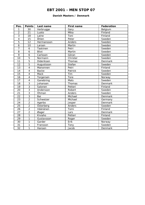#### **Danish Masters / Denmark**

| Pos.                     | <b>Points</b>           | Last name    | First name | Federation |
|--------------------------|-------------------------|--------------|------------|------------|
| 1                        | 30                      | Verbrugge    | Gery       | Belgium    |
| $\overline{2}$           | 21                      | Luoto        | Mika       | Finland    |
| $\overline{3}$           | 18                      | Laine        | Toni       | Finland    |
| $\overline{\mathcal{A}}$ | 15                      | Åhlen        | Peter      | Sweden     |
| 5                        | 12                      | Hermansson   | Anders     | Sweden     |
| 6                        | 10                      | Larsen       | Martin     | Sweden     |
| $\overline{7}$           | 6                       | Taskinen     | Petri      | Sweden     |
| 8                        | 6                       | Blixt        | Martin     | Sweden     |
| 9                        | 6                       | Carlsson     | Göran      | Sweden     |
| 10                       | $\overline{5}$          | Normann      | Christer   | Sweden     |
| 11                       | $\overline{5}$          | Dideriksen   | Thomas     | Denmark    |
| 12                       | $\overline{5}$          | Augustsson   | Stefan     | Sweden     |
| 13                       | $\overline{4}$          | Manonnen     | Petri      | Finland    |
| 14                       | $\overline{4}$          | <b>Backe</b> | Patrick    | Sweden     |
| 15                       | $\overline{\mathbf{4}}$ | Mack         | Tim        | Sweden     |
| 16                       | $\overline{\mathbf{4}}$ | Torgersen    | Tore       | Norway     |
| 17                       | $\overline{\mathbf{4}}$ | Ganebring    | Mats       | Sweden     |
| 18                       | $\overline{3}$          | Johansen     | Thomas     | Denmark    |
| 19                       | $\overline{3}$          | Salonen      | Petteri    | Finland    |
| 20                       | $\overline{3}$          | Andersson    | Robert     | Sweden     |
| 21                       | $\overline{3}$          | Öhman        | Anders     | Sweden     |
| 22                       | $\overline{3}$          | Bai          | Michael    | Denmark    |
| 23                       | $\overline{2}$          | Schweizer    | Michael    | Germany    |
| 24                       | $\overline{2}$          | Agerbo       | Jesper     | Denmark    |
| 25                       | $\overline{2}$          | Österberg    | Anders     | Sweden     |
| 26                       | $\overline{2}$          | Väänänen     | Tomi       | Finland    |
| 27                       | $\overline{2}$          | Øager        | Lars       | Denmark    |
| 28                       | $\mathbf{1}$            | Kiviaho      | Petteri    | Finland    |
| 29                       | 1                       | Gustavsson   | Roger      | Sweden     |
| 30                       | 1                       | Garder       | Erik       | Norway     |
| 31                       | $\mathbf{1}$            | Fransson     | Tony       | Sweden     |
| 32                       | 1                       | Hansen       | Jacob      | Denmark    |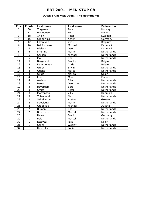## **Dutch Brunswick Open / The Netherlands**

| Pos.                     | <b>Points</b>           | Last name    | First name  | Federation  |
|--------------------------|-------------------------|--------------|-------------|-------------|
| 1                        | 30                      | Torgersen    | Tore        | Norway      |
| $\overline{2}$           | 21                      | Mannonen     | Petri       | Finland     |
| $\overline{3}$           | 18                      | Ahlen        | Peter       | Sweden      |
| $\overline{\mathcal{L}}$ | 15                      | Grabowski    | Achim       | Germany     |
| $\overline{5}$           | 12                      | Eiken van    | Yves        | Belgium     |
| 6                        | 10                      | Bai Andersen | Michael     | Danmark     |
| $\overline{7}$           | 6                       | Nielsen      | Gert        | Danmark     |
| 8                        | 6                       | Snelting     | Martin      | Netherlands |
| 9                        | 6                       | Sassen       | Michael     | Netherlands |
| 10                       | $\overline{5}$          | Mol          | Roel        | Netherlands |
| 11                       | $\overline{5}$          | Berge v.d.   | Franky      | Belgium     |
| 12                       | $\overline{5}$          | Damme van    | Chris       | Belgium     |
| 13                       | $\overline{\mathbf{4}}$ | Groen        | Erwin       | Netherlands |
| 14                       | $\overline{4}$          | Griend       | Marco       | Netherlands |
| $\overline{15}$          | $\overline{4}$          | Ovido        | Marcial     | Spain       |
| $\overline{16}$          | $\overline{4}$          | Luoto        | Mika        | Finland     |
| 17                       | $\overline{4}$          | Aerle v      | Edwin       | Netherlands |
| 18                       | $\overline{3}$          | Baest v.     | Geert Jan   | Netherlands |
| 19                       | $\overline{3}$          | Beverdam     | Bert        | Netherlands |
| 20                       | $\overline{3}$          | <b>Smits</b> | Peter       | Netherlands |
| $\overline{21}$          | $\overline{3}$          | Mortensen    | Villy       | Danmark     |
| 22                       | $\overline{3}$          | Thienpondt   | <b>Nico</b> | Netherlands |
| 23                       | $\overline{2}$          | Sakellariou  | Kostas      | Greece      |
| $\overline{24}$          | $\overline{2}$          | Spoelstra    | Martin      | Netherlands |
| $\overline{25}$          | $\overline{2}$          | Grabovac     | Michael     | Austria     |
| 26                       | $\overline{2}$          | Bijman       | Bas         | Netherlands |
| 27                       | $\overline{2}$          | Bosch v.d.   | Marcel      | Netherlands |
| 28                       | $\mathbf{1}$            | Heine        | Frank       | Germany     |
| 29                       | 1                       | <b>Bais</b>  | Marcel      | Netherlands |
| 30                       | $\mathbf{1}$            | Estevez      | Jose        | Spain       |
| 31                       | 1                       | Selier       | Wesley      | Netherlands |
| 32                       | 1                       | Hendriks     | Louis       | Netherlands |